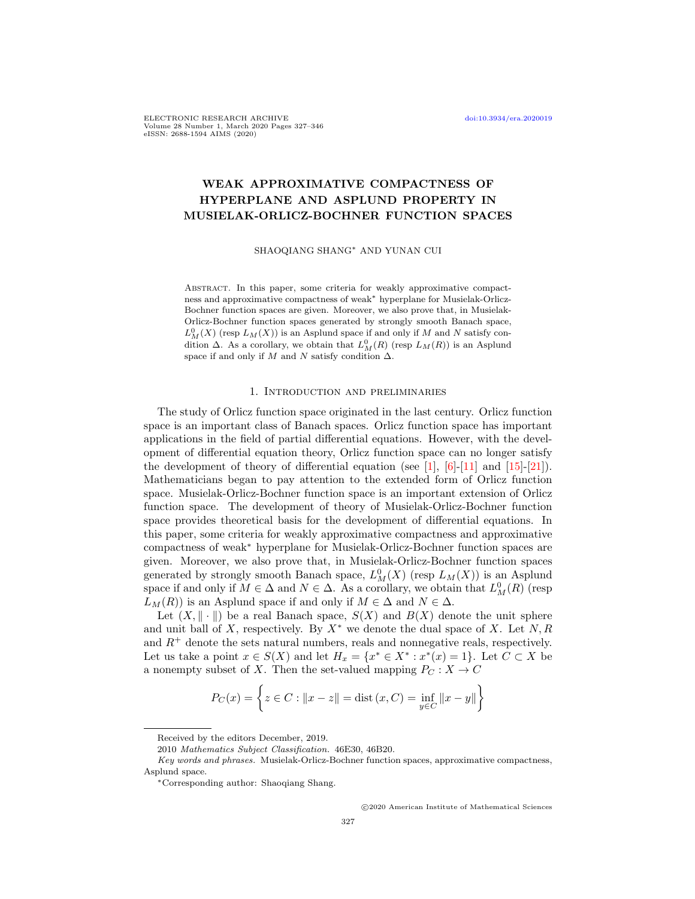ELECTRONIC RESEARCH ARCHIVE [doi:10.3934/era.2020019](http://dx.doi.org/10.3934/era.2020019) Volume 28 Number 1, March 2020 Pages 327–346 eISSN: 2688-1594 AIMS (2020)

# WEAK APPROXIMATIVE COMPACTNESS OF HYPERPLANE AND ASPLUND PROPERTY IN MUSIELAK-ORLICZ-BOCHNER FUNCTION SPACES

SHAOQIANG SHANG<sup>∗</sup> AND YUNAN CUI

Abstract. In this paper, some criteria for weakly approximative compactness and approximative compactness of weak<sup>∗</sup> hyperplane for Musielak-Orlicz-Bochner function spaces are given. Moreover, we also prove that, in Musielak-Orlicz-Bochner function spaces generated by strongly smooth Banach space,  $L^0_M(X)$  (resp  $L_M(X))$  is an Asplund space if and only if  $M$  and  $N$  satisfy condition  $\Delta$ . As a corollary, we obtain that  $L_M^0(R)$  (resp  $L_M(R)$ ) is an Asplund space if and only if  $M$  and  $N$  satisfy condition  $\Delta$ .

#### 1. Introduction and preliminaries

The study of Orlicz function space originated in the last century. Orlicz function space is an important class of Banach spaces. Orlicz function space has important applications in the field of partial differential equations. However, with the development of differential equation theory, Orlicz function space can no longer satisfy the development of theory of differential equation (see [\[1\]](#page-18-0),  $[6]-[11]$  $[6]-[11]$  $[6]-[11]$  and  $[15]-[21]$  $[15]-[21]$  $[15]-[21]$ ). Mathematicians began to pay attention to the extended form of Orlicz function space. Musielak-Orlicz-Bochner function space is an important extension of Orlicz function space. The development of theory of Musielak-Orlicz-Bochner function space provides theoretical basis for the development of differential equations. In this paper, some criteria for weakly approximative compactness and approximative compactness of weak<sup>∗</sup> hyperplane for Musielak-Orlicz-Bochner function spaces are given. Moreover, we also prove that, in Musielak-Orlicz-Bochner function spaces generated by strongly smooth Banach space,  $L_M^0(X)$  (resp  $L_M(X)$ ) is an Asplund space if and only if  $M \in \Delta$  and  $N \in \Delta$ . As a corollary, we obtain that  $L^0(M(R)$  (resp  $L_M(R)$  is an Asplund space if and only if  $M \in \Delta$  and  $N \in \Delta$ .

Let  $(X, \|\cdot\|)$  be a real Banach space,  $S(X)$  and  $B(X)$  denote the unit sphere and unit ball of X, respectively. By  $X^*$  we denote the dual space of X. Let  $N, R$ and  $R^+$  denote the sets natural numbers, reals and nonnegative reals, respectively. Let us take a point  $x \in S(X)$  and let  $H_x = \{x^* \in X^* : x^*(x) = 1\}$ . Let  $C \subset X$  be a nonempty subset of X. Then the set-valued mapping  $P_C : X \to C$ 

$$
P_C(x) = \left\{ z \in C : ||x - z|| = \text{dist}(x, C) = \inf_{y \in C} ||x - y|| \right\}
$$

c 2020 American Institute of Mathematical Sciences

Received by the editors December, 2019.

<sup>2010</sup> Mathematics Subject Classification. 46E30, 46B20.

Key words and phrases. Musielak-Orlicz-Bochner function spaces, approximative compactness, Asplund space.

<sup>∗</sup>Corresponding author: Shaoqiang Shang.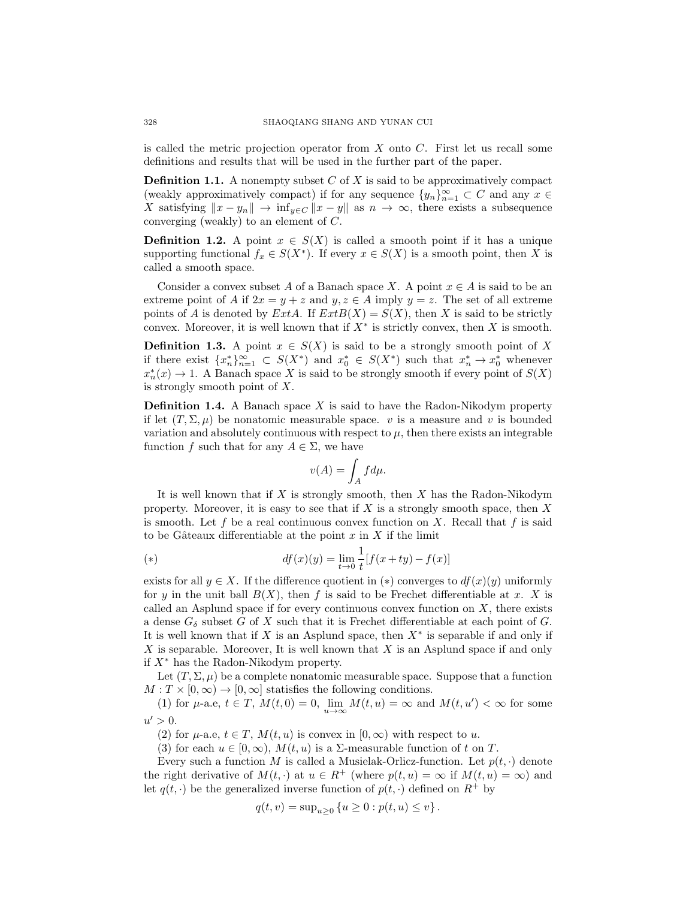is called the metric projection operator from  $X$  onto  $C$ . First let us recall some definitions and results that will be used in the further part of the paper.

**Definition 1.1.** A nonempty subset  $C$  of  $X$  is said to be approximatively compact (weakly approximatively compact) if for any sequence  $\{y_n\}_{n=1}^{\infty} \subset C$  and any  $x \in$ X satisfying  $||x - y_n|| \to \inf_{y \in C} ||x - y||$  as  $n \to \infty$ , there exists a subsequence converging (weakly) to an element of C.

**Definition 1.2.** A point  $x \in S(X)$  is called a smooth point if it has a unique supporting functional  $f_x \in S(X^*)$ . If every  $x \in S(X)$  is a smooth point, then X is called a smooth space.

Consider a convex subset A of a Banach space X. A point  $x \in A$  is said to be an extreme point of A if  $2x = y + z$  and  $y, z \in A$  imply  $y = z$ . The set of all extreme points of A is denoted by  $ExtA$ . If  $ExtB(X) = S(X)$ , then X is said to be strictly convex. Moreover, it is well known that if  $X^*$  is strictly convex, then X is smooth.

**Definition 1.3.** A point  $x \in S(X)$  is said to be a strongly smooth point of X if there exist  ${x_n^*}_{n=1}^{\infty} \subset S(X^*)$  and  $x_0^* \in S(X^*)$  such that  $x_n^* \to x_0^*$  whenever  $x_n^*(x) \to 1$ . A Banach space X is said to be strongly smooth if every point of  $S(X)$ is strongly smooth point of  $X$ .

**Definition 1.4.** A Banach space  $X$  is said to have the Radon-Nikodym property if let  $(T, \Sigma, \mu)$  be nonatomic measurable space. v is a measure and v is bounded variation and absolutely continuous with respect to  $\mu$ , then there exists an integrable function f such that for any  $A \in \Sigma$ , we have

$$
v(A) = \int_A f d\mu.
$$

It is well known that if  $X$  is strongly smooth, then  $X$  has the Radon-Nikodym property. Moreover, it is easy to see that if  $X$  is a strongly smooth space, then  $X$ is smooth. Let f be a real continuous convex function on X. Recall that f is said to be Gâteaux differentiable at the point  $x$  in  $X$  if the limit

(\*) 
$$
df(x)(y) = \lim_{t \to 0} \frac{1}{t} [f(x + ty) - f(x)]
$$

exists for all  $y \in X$ . If the difference quotient in (\*) converges to  $df(x)(y)$  uniformly for y in the unit ball  $B(X)$ , then f is said to be Frechet differentiable at x. X is called an Asplund space if for every continuous convex function on  $X$ , there exists a dense  $G_{\delta}$  subset G of X such that it is Frechet differentiable at each point of G. It is well known that if X is an Asplund space, then  $X^*$  is separable if and only if  $X$  is separable. Moreover, It is well known that  $X$  is an Asplund space if and only if X<sup>∗</sup> has the Radon-Nikodym property.

Let  $(T, \Sigma, \mu)$  be a complete nonatomic measurable space. Suppose that a function  $M: T \times [0, \infty) \to [0, \infty]$  statisfies the following conditions.

(1) for  $\mu$ -a.e,  $t \in T$ ,  $M(t, 0) = 0$ ,  $\lim_{u \to \infty} M(t, u) = \infty$  and  $M(t, u') < \infty$  for some  $u' > 0.$ 

(2) for  $\mu$ -a.e,  $t \in T$ ,  $M(t, u)$  is convex in  $[0, \infty)$  with respect to u.

(3) for each  $u \in [0, \infty)$ ,  $M(t, u)$  is a  $\Sigma$ -measurable function of t on T.

Every such a function M is called a Musielak-Orlicz-function. Let  $p(t, \cdot)$  denote the right derivative of  $M(t, \cdot)$  at  $u \in R^+$  (where  $p(t, u) = \infty$  if  $M(t, u) = \infty$ ) and let  $q(t, \cdot)$  be the generalized inverse function of  $p(t, \cdot)$  defined on  $R^+$  by

$$
q(t, v) = \sup_{u \ge 0} \{ u \ge 0 : p(t, u) \le v \}.
$$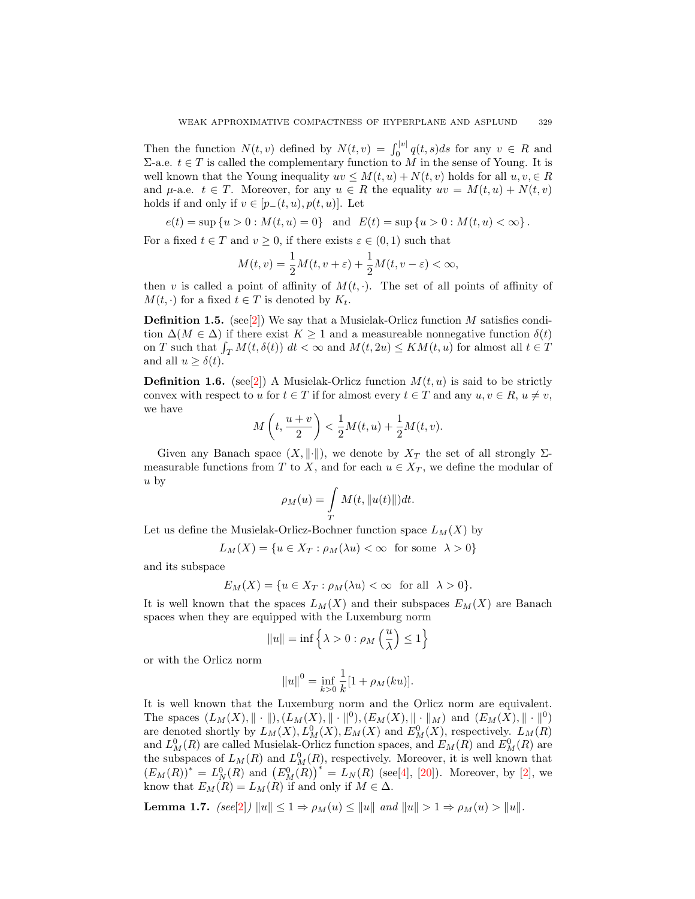Then the function  $N(t, v)$  defined by  $N(t, v) = \int_0^{|v|} q(t, s) ds$  for any  $v \in R$  and Σ-a.e.  $t ∈ T$  is called the complementary function to M in the sense of Young. It is well known that the Young inequality  $uv \leq M(t, u) + N(t, v)$  holds for all  $u, v \in R$ and  $\mu$ -a.e.  $t \in T$ . Moreover, for any  $u \in R$  the equality  $uv = M(t, u) + N(t, v)$ holds if and only if  $v \in [p_-(t, u), p(t, u)]$ . Let

$$
e(t) = \sup\{u > 0 : M(t, u) = 0\} \text{ and } E(t) = \sup\{u > 0 : M(t, u) < \infty\}.
$$

For a fixed  $t \in T$  and  $v \ge 0$ , if there exists  $\varepsilon \in (0,1)$  such that

$$
M(t,v) = \frac{1}{2}M(t,v+\varepsilon) + \frac{1}{2}M(t,v-\varepsilon) < \infty,
$$

then v is called a point of affinity of  $M(t, \cdot)$ . The set of all points of affinity of  $M(t, \cdot)$  for a fixed  $t \in T$  is denoted by  $K_t$ .

**Definition 1.5.** (see[\[2\]](#page-18-5)) We say that a Musielak-Orlicz function M satisfies condition  $\Delta(M \in \Delta)$  if there exist  $K \geq 1$  and a measureable nonnegative function  $\delta(t)$ on T such that  $\int_T M(t, \delta(t)) dt < \infty$  and  $M(t, 2u) \leq KM(t, u)$  for almost all  $t \in T$ and all  $u \geq \delta(t)$ .

**Definition 1.6.** (see[\[2\]](#page-18-5)) A Musielak-Orlicz function  $M(t, u)$  is said to be strictly convex with respect to u for  $t \in T$  if for almost every  $t \in T$  and any  $u, v \in R$ ,  $u \neq v$ , we have

$$
M\left(t,\frac{u+v}{2}\right) < \frac{1}{2}M(t,u) + \frac{1}{2}M(t,v).
$$

Given any Banach space  $(X, \|\cdot\|)$ , we denote by  $X_T$  the set of all strongly  $\Sigma$ measurable functions from T to X, and for each  $u \in X_T$ , we define the modular of  $u$  by

$$
\rho_M(u) = \int\limits_T M(t, \|u(t)\|) dt.
$$

Let us define the Musielak-Orlicz-Bochner function space  $L_M(X)$  by

$$
L_M(X) = \{ u \in X_T : \rho_M(\lambda u) < \infty \text{ for some } \lambda > 0 \}
$$

and its subspace

$$
E_M(X) = \{ u \in X_T : \rho_M(\lambda u) < \infty \quad \text{for all} \quad \lambda > 0 \}.
$$

It is well known that the spaces  $L_M(X)$  and their subspaces  $E_M(X)$  are Banach spaces when they are equipped with the Luxemburg norm

$$
||u|| = \inf \left\{ \lambda > 0 : \rho_M \left( \frac{u}{\lambda} \right) \le 1 \right\}
$$

or with the Orlicz norm

$$
||u||^0 = \inf_{k>0} \frac{1}{k} [1 + \rho_M(ku)].
$$

It is well known that the Luxemburg norm and the Orlicz norm are equivalent. The spaces  $(L_M(X), \|\cdot\|), (L_M(X), \|\cdot\|^{0}), (E_M(X), \|\cdot\|_{M})$  and  $(E_M(X), \|\cdot\|^{0})$ are denoted shortly by  $L_M(X), L_M^0(X), E_M(X)$  and  $E_M^0(X)$ , respectively.  $L_M(R)$ and  $L_M^0(R)$  are called Musielak-Orlicz function spaces, and  $E_M(R)$  and  $E_M^0(R)$  are the subspaces of  $L_M(R)$  and  $L_M^0(R)$ , respectively. Moreover, it is well known that  $(E_M(R))^* = L_N^0(R)$  and  $(E_M^0(R))^* = L_N(R)$  (see[\[4\]](#page-18-6), [\[20\]](#page-18-7)). Moreover, by [\[2\]](#page-18-5), we know that  $E_M(R) = L_M(R)$  if and only if  $M \in \Delta$ .

Lemma 1.7.  $\left( \text{see} [2] \right) ||u|| \leq 1 \Rightarrow \rho_M(u) \leq ||u|| \text{ and } ||u|| > 1 \Rightarrow \rho_M(u) > ||u||.$  $\left( \text{see} [2] \right) ||u|| \leq 1 \Rightarrow \rho_M(u) \leq ||u|| \text{ and } ||u|| > 1 \Rightarrow \rho_M(u) > ||u||.$  $\left( \text{see} [2] \right) ||u|| \leq 1 \Rightarrow \rho_M(u) \leq ||u|| \text{ and } ||u|| > 1 \Rightarrow \rho_M(u) > ||u||.$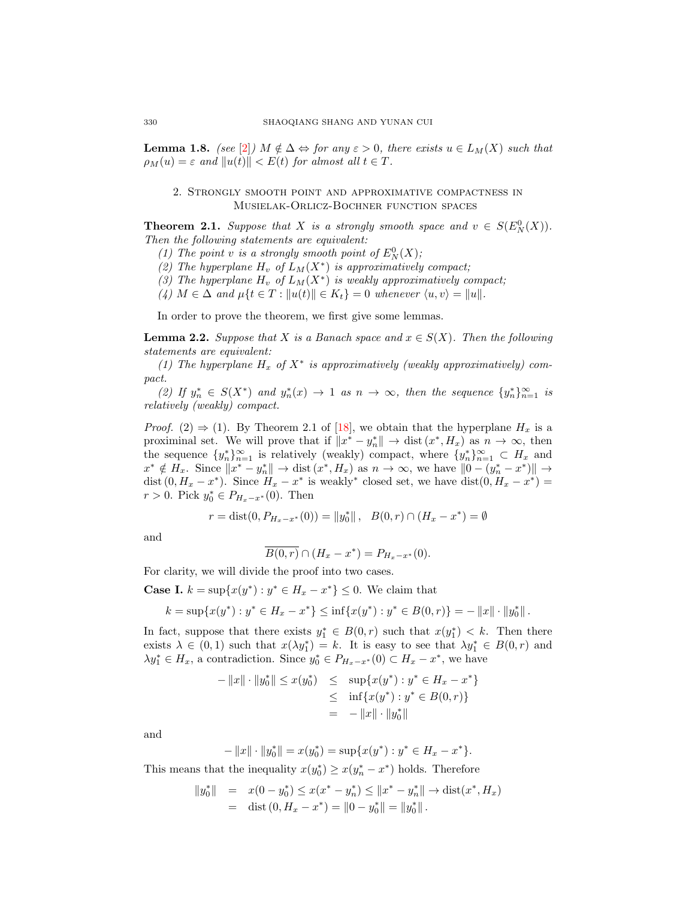**Lemma 1.8.** (see [\[2\]](#page-18-5))  $M \notin \Delta \Leftrightarrow$  for any  $\varepsilon > 0$ , there exists  $u \in L_M(X)$  such that  $\rho_M(u) = \varepsilon$  and  $||u(t)|| < E(t)$  for almost all  $t \in T$ .

# 2. Strongly smooth point and approximative compactness in Musielak-Orlicz-Bochner function spaces

**Theorem 2.1.** Suppose that X is a strongly smooth space and  $v \in S(E_N^0(X))$ . Then the following statements are equivalent:

- (1) The point v is a strongly smooth point of  $E_N^0(X)$ ;
- (2) The hyperplane  $H_v$  of  $L_M(X^*)$  is approximatively compact;
- (3) The hyperplane  $H_v$  of  $L_M(X^*)$  is weakly approximatively compact;
- (4)  $M \in \Delta$  and  $\mu\{t \in T : ||u(t)|| \in K_t\} = 0$  whenever  $\langle u, v \rangle = ||u||$ .

In order to prove the theorem, we first give some lemmas.

**Lemma 2.2.** Suppose that X is a Banach space and  $x \in S(X)$ . Then the following statements are equivalent:

(1) The hyperplane  $H_x$  of  $X^*$  is approximatively (weakly approximatively) compact.

(2) If  $y_n^* \in S(X^*)$  and  $y_n^*(x) \to 1$  as  $n \to \infty$ , then the sequence  $\{y_n^*\}_{n=1}^\infty$  is relatively (weakly) compact.

*Proof.* (2)  $\Rightarrow$  (1). By Theorem 2.1 of [\[18\]](#page-18-8), we obtain that the hyperplane  $H_x$  is a proximinal set. We will prove that if  $||x^* - y_n^*|| \to \text{dist}(x^*, H_x)$  as  $n \to \infty$ , then the sequence  $\{y_n^*\}_{n=1}^\infty$  is relatively (weakly) compact, where  $\{y_n^*\}_{n=1}^\infty \subset H_x$  and  $x^* \notin H_x$ . Since  $||x^* - y_n^*|| \to \text{dist}(x^*, H_x)$  as  $n \to \infty$ , we have  $||0 - (y_n^* - x^*)|| \to$ dist  $(0, H_x - x^*)$ . Since  $H_x - x^*$  is weakly<sup>\*</sup> closed set, we have dist $(0, H_x - x^*)$  =  $r > 0$ . Pick  $y_0^* \in P_{H_x-x^*}(0)$ . Then

$$
r = \text{dist}(0, P_{H_x - x^*}(0)) = ||y_0^*||, \quad B(0, r) \cap (H_x - x^*) = \emptyset
$$

and

$$
\overline{B(0,r)} \cap (H_x - x^*) = P_{H_x - x^*}(0).
$$

For clarity, we will divide the proof into two cases.

**Case I.**  $k = \sup\{x(y^*) : y^* \in H_x - x^*\} \leq 0$ . We claim that

$$
k = \sup \{ x(y^*) : y^* \in H_x - x^* \} \le \inf \{ x(y^*) : y^* \in B(0, r) \} = -\|x\| \cdot \|y_0^*\|.
$$

In fact, suppose that there exists  $y_1^* \in B(0,r)$  such that  $x(y_1^*) < k$ . Then there exists  $\lambda \in (0,1)$  such that  $x(\lambda y_1^*) = k$ . It is easy to see that  $\lambda y_1^* \in B(0,r)$  and  $\lambda y_1^* \in H_x$ , a contradiction. Since  $y_0^* \in P_{H_x-x^*}(0) \subset H_x-x^*$ , we have

$$
- ||x|| \cdot ||y_0^*|| \le x(y_0^*) \le \sup\{x(y^*) : y^* \in H_x - x^*\}
$$
  
\n
$$
\le \inf\{x(y^*) : y^* \in B(0, r)\}
$$
  
\n
$$
= - ||x|| \cdot ||y_0^*||
$$

and

$$
-\|x\|\cdot\|y_0^*\| = x(y_0^*) = \sup\{x(y^*): y^* \in H_x - x^*\}.
$$

This means that the inequality  $x(y_0^*) \ge x(y_n^* - x^*)$  holds. Therefore

$$
||y_0^*|| = x(0 - y_0^*) \le x(x^* - y_n^*) \le ||x^* - y_n^*|| \to \text{dist}(x^*, H_x)
$$
  
= dist (0, H\_x - x^\*) = ||0 - y\_0^\*|| = ||y\_0^\*||.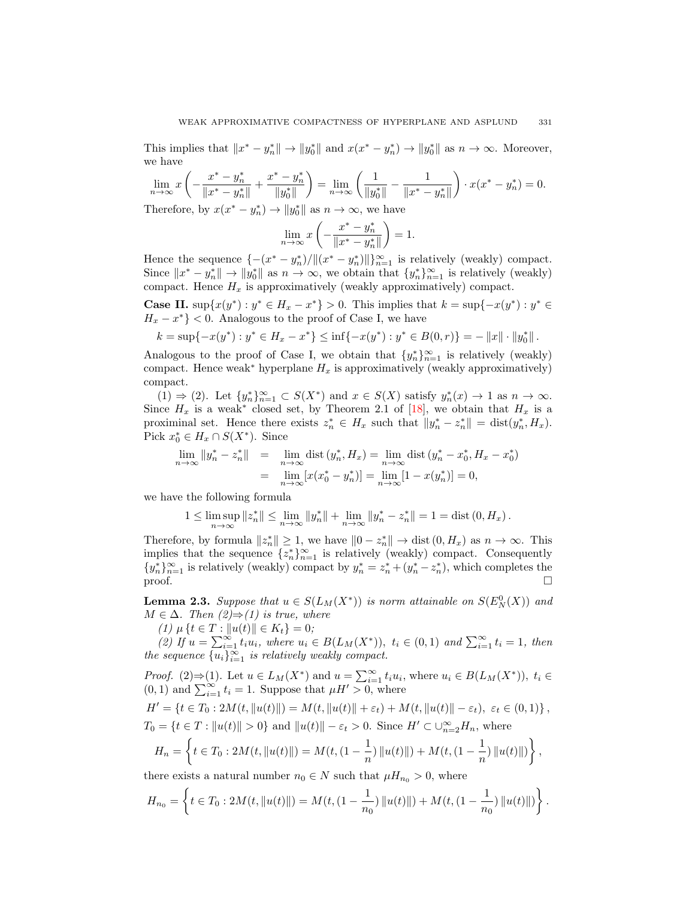This implies that  $||x^* - y_n^*|| \to ||y_0^*||$  and  $x(x^* - y_n^*) \to ||y_0^*||$  as  $n \to \infty$ . Moreover, we have

$$
\lim_{n \to \infty} x \left( -\frac{x^* - y_n^*}{\|x^* - y_n^*\|} + \frac{x^* - y_n^*}{\|y_0^*\|} \right) = \lim_{n \to \infty} \left( \frac{1}{\|y_0^*\|} - \frac{1}{\|x^* - y_n^*\|} \right) \cdot x(x^* - y_n^*) = 0.
$$
\nTherefore, by  $x(x^* - y^*) \to \|y^*\|$  as  $n \to \infty$ , we have

Therefore, by  $x(x^* - y_n^*) \to ||y_0^*||$  as  $n \to \infty$ , we have

$$
\lim_{n \to \infty} x \left( -\frac{x^* - y_n^*}{\|x^* - y_n^*\|} \right) = 1.
$$

Hence the sequence  $\{-(x^* - y_n^*)/\|(x^* - y_n^*)\|\}_{n=1}^{\infty}$  is relatively (weakly) compact. Since  $||x^* - y_n^*|| \to ||y_0^*||$  as  $n \to \infty$ , we obtain that  $\{y_n^*\}_{n=1}^\infty$  is relatively (weakly) compact. Hence  $H_x$  is approximatively (weakly approximatively) compact.

**Case II.** sup $\{x(y^*) : y^* \in H_x - x^*\} > 0$ . This implies that  $k = \sup\{-x(y^*) : y^* \in H_x\}$  $H_x - x^*$ } < 0. Analogous to the proof of Case I, we have

$$
k = \sup\{-x(y^*): y^* \in H_x - x^*\} \le \inf\{-x(y^*): y^* \in B(0,r)\} = -\|x\| \cdot \|y_0^*\|.
$$

Analogous to the proof of Case I, we obtain that  $\{y_n^*\}_{n=1}^\infty$  is relatively (weakly) compact. Hence weak<sup>∗</sup> hyperplane  $H_x$  is approximatively (weakly approximatively) compact.

 $(1) \Rightarrow (2)$ . Let  $\{y_n^*\}_{n=1}^\infty \subset S(X^*)$  and  $x \in S(X)$  satisfy  $y_n^*(x) \to 1$  as  $n \to \infty$ . Since  $H_x$  is a weak<sup>\*</sup> closed set, by Theorem 2.1 of [\[18\]](#page-18-8), we obtain that  $H_x$  is a proximinal set. Hence there exists  $z_n^* \in H_x$  such that  $||y_n^* - z_n^*|| = \text{dist}(y_n^*, H_x)$ . Pick  $x_0^* \in H_x \cap S(X^*)$ . Since

$$
\lim_{n \to \infty} ||y_n^* - z_n^*|| = \lim_{n \to \infty} \text{dist}(y_n^*, H_x) = \lim_{n \to \infty} \text{dist}(y_n^* - x_0^*, H_x - x_0^*)
$$
  
= 
$$
\lim_{n \to \infty} [x(x_0^* - y_n^*)] = \lim_{n \to \infty} [1 - x(y_n^*)] = 0,
$$

we have the following formula

$$
1 \leq \limsup_{n \to \infty} ||z_n^*|| \leq \lim_{n \to \infty} ||y_n^*|| + \lim_{n \to \infty} ||y_n^* - z_n^*|| = 1 = \text{dist}(0, H_x).
$$

Therefore, by formula  $||z_n^*|| \geq 1$ , we have  $||0 - z_n^*|| \to \text{dist}(0, H_x)$  as  $n \to \infty$ . This implies that the sequence  $\{z_n^*\}_{n=1}^\infty$  is relatively (weakly) compact. Consequently  ${y_n^*}_{n=1}^\infty$  is relatively (weakly) compact by  $y_n^* = z_n^* + (y_n^* - z_n^*)$ , which completes the proof.  $\square$ 

**Lemma 2.3.** Suppose that  $u \in S(L_M(X^*))$  is norm attainable on  $S(E_N^0(X))$  and  $M \in \Delta$ . Then  $(2) \Rightarrow (1)$  is true, where

(1)  $\mu \{t \in T : ||u(t)|| \in K_t\} = 0;$ 

(2) If  $u = \sum_{i=1}^{\infty} t_i u_i$ , where  $u_i \in B(L_M(X^*)), t_i \in (0,1)$  and  $\sum_{i=1}^{\infty} t_i = 1$ , then the sequence  $\{u_i\}_{i=1}^{\infty}$  is relatively weakly compact.

*Proof.* (2)⇒(1). Let  $u \in L_M(X^*)$  and  $u = \sum_{i=1}^{\infty} t_i u_i$ , where  $u_i \in B(L_M(X^*))$ ,  $t_i \in$  $(0, 1)$  and  $\sum_{i=1}^{\infty} t_i = 1$ . Suppose that  $\mu H' > 0$ , where

$$
H' = \{ t \in T_0 : 2M(t, ||u(t)||) = M(t, ||u(t)|| + \varepsilon_t) + M(t, ||u(t)|| - \varepsilon_t), \ \varepsilon_t \in (0, 1) \},
$$
  
\n
$$
T_0 = \{ t \in T : ||u(t)|| > 0 \} \text{ and } ||u(t)|| - \varepsilon_t > 0. \text{ Since } H' \subset \bigcup_{n=2}^{\infty} H_n, \text{ where}
$$
  
\n
$$
H_n = \left\{ t \in T_0 : 2M(t, ||u(t)||) = M(t, (1 - \frac{1}{n}) ||u(t)||) + M(t, (1 - \frac{1}{n}) ||u(t)||) \right\},
$$

there exists a natural number  $n_0 \in N$  such that  $\mu H_{n_0} > 0$ , where

$$
H_{n_0} = \left\{ t \in T_0 : 2M(t, \|u(t)\|) = M(t, (1 - \frac{1}{n_0}) \|u(t)\|) + M(t, (1 - \frac{1}{n_0}) \|u(t)\|) \right\}.
$$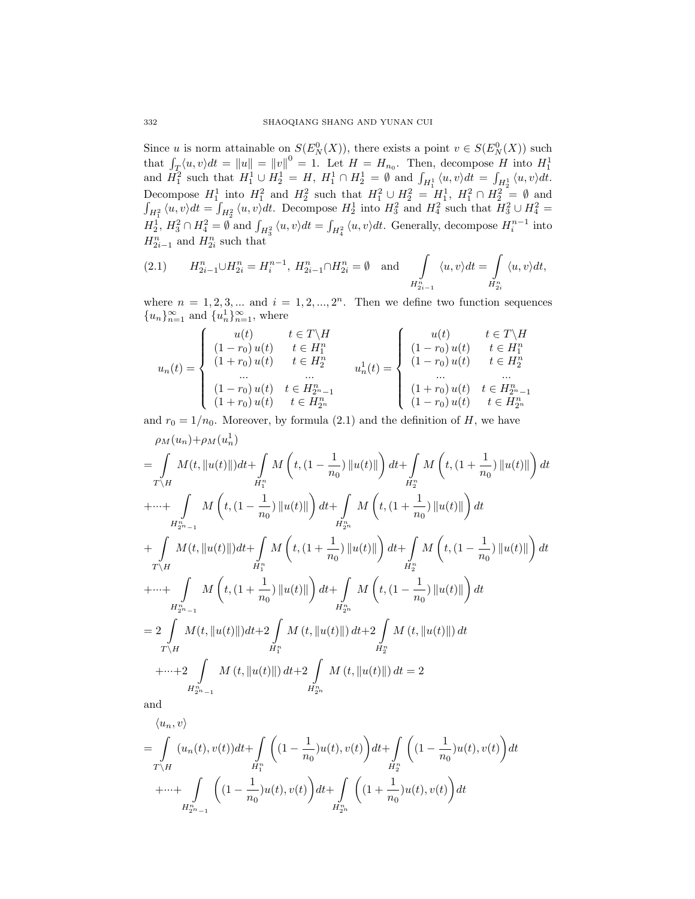Since u is norm attainable on  $S(E_N^0(X))$ , there exists a point  $v \in S(E_N^0(X))$  such that  $\int_T \langle u, v \rangle dt = ||u|| = ||v||^0 = 1$ . Let  $H = H_{n_0}$ . Then, decompose H into  $H_1^1$  and  $H_1^2$  such that  $H_1^1 \cup H_2^1 = H$ ,  $H_1^1 \cap H_2^1 = \emptyset$  and  $\int_{H_1^1} \langle u, v \rangle dt = \int_{H_2^1} \langle u, v \rangle dt$ . Decompose  $H_1^1$  into  $H_1^2$  and  $H_2^2$  such that  $H_1^2 \cup H_2^2 = H_1^1$ ,  $H_1^2 \cap H_2^2 = \emptyset$  and  $\int_{H_1^2} \langle u, v \rangle dt = \int_{H_2^2} \langle u, v \rangle dt$ . Decompose  $H_2^1$  into  $H_3^2$  and  $H_4^2$  such that  $H_3^2 \cup H_4^2 =$  $H_2^1$ ,  $H_3^2 \cap H_4^2 = \emptyset$  and  $\int_{H_3^2} \langle u, v \rangle dt = \int_{H_4^2} \langle u, v \rangle dt$ . Generally, decompose  $H_i^{n-1}$  into  $H_{2i-1}^n$  and  $H_{2i}^n$  such that

(2.1) 
$$
H_{2i-1}^{n} \cup H_{2i}^{n} = H_{i}^{n-1}, H_{2i-1}^{n} \cap H_{2i}^{n} = \emptyset \text{ and } \int_{H_{2i-1}^{n}} \langle u, v \rangle dt = \int_{H_{2i}^{n}} \langle u, v \rangle dt,
$$

where  $n = 1, 2, 3, ...$  and  $i = 1, 2, ..., 2<sup>n</sup>$ . Then we define two function sequences  ${u_n}_{n=1}^{\infty}$  and  ${u_n}^1_{n=1}^{\infty}$ , where

$$
u_n(t) = \begin{cases}\nu(t) & t \in T \backslash H \\
(1 - r_0) u(t) & t \in H_1^n \\
(1 + r_0) u(t) & t \in H_2^n \\
\vdots \\
(1 - r_0) u(t) & t \in H_{2n-1}^n \\
(1 + r_0) u(t) & t \in H_{2n}^n\n\end{cases} u_n^1(t) = \begin{cases}\nu(t) & t \in T \backslash H \\
(1 - r_0) u(t) & t \in H_1^n \\
(1 - r_0) u(t) & t \in H_2^n \\
\vdots \\
(1 - r_0) u(t) & t \in H_{2n-1}^n \\
(1 - r_0) u(t) & t \in H_{2n}^n\n\end{cases}
$$

and  $r_0 = 1/n_0$ . Moreover, by formula (2.1) and the definition of H, we have  $\rho_M(u_n)+\rho_M(u_n^1)$ 

$$
= \int_{T\backslash H} M(t, \|u(t)\|)dt + \int_{H_1^n} M\left(t, (1 - \frac{1}{n_0}) \|u(t)\| \right) dt + \int_{H_2^n} M\left(t, (1 + \frac{1}{n_0}) \|u(t)\| \right) dt
$$
  
+ 
$$
\cdots + \int_{H_{2n-1}^n} M\left(t, (1 - \frac{1}{n_0}) \|u(t)\| \right) dt + \int_{H_{2n}^n} M\left(t, (1 + \frac{1}{n_0}) \|u(t)\| \right) dt
$$
  
+ 
$$
\int_{T\backslash H} M(t, \|u(t)\|) dt + \int_{H_1^n} M\left(t, (1 + \frac{1}{n_0}) \|u(t)\| \right) dt + \int_{H_2^n} M\left(t, (1 - \frac{1}{n_0}) \|u(t)\| \right) dt
$$
  
+ 
$$
\cdots + \int_{H_{2n-1}^n} M\left(t, (1 + \frac{1}{n_0}) \|u(t)\| \right) dt + \int_{H_{2n}^n} M\left(t, (1 - \frac{1}{n_0}) \|u(t)\| \right) dt
$$
  
= 
$$
2 \int_{T\backslash H} M(t, \|u(t)\|) dt + 2 \int_{H_1^n} M(t, \|u(t)\|) dt + 2 \int_{H_2^n} M(t, \|u(t)\|) dt
$$
  
+ 
$$
\cdots + 2 \int_{H_{2n-1}^n} M(t, \|u(t)\|) dt + 2 \int_{H_{2n}^n} M(t, \|u(t)\|) dt = 2
$$
and

and

$$
\langle u_n, v \rangle
$$
  
=  $\int_{T \backslash H} (u_n(t), v(t)) dt + \int_{H_1^n} \left( (1 - \frac{1}{n_0}) u(t), v(t) \right) dt + \int_{H_2^n} \left( (1 - \frac{1}{n_0}) u(t), v(t) \right) dt$   
+  $\cdots + \int_{H_{2n-1}^n} \left( (1 - \frac{1}{n_0}) u(t), v(t) \right) dt + \int_{H_{2n}^n} \left( (1 + \frac{1}{n_0}) u(t), v(t) \right) dt$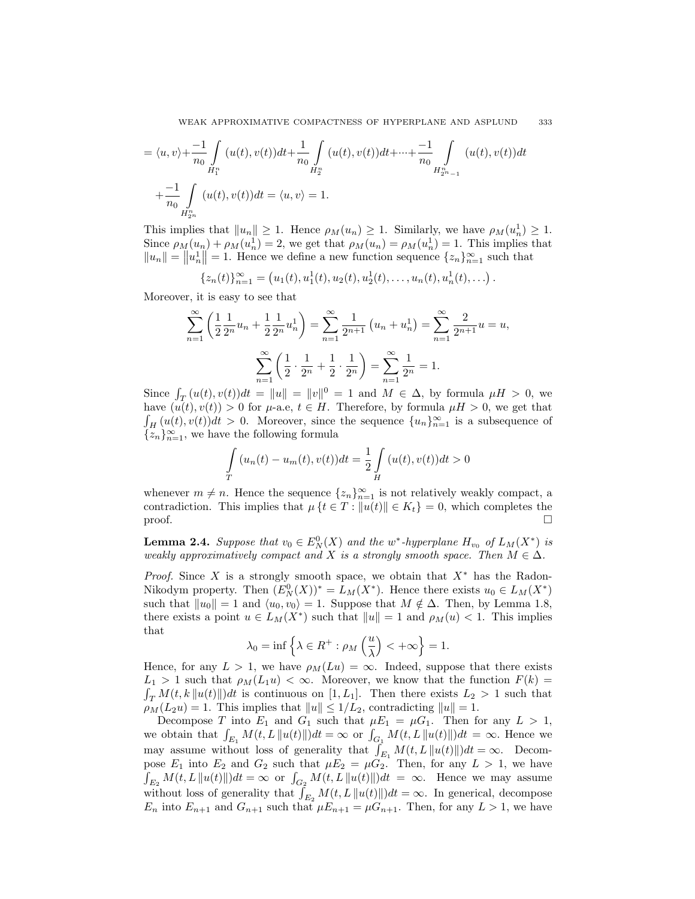WEAK APPROXIMATIVE COMPACTNESS OF HYPERPLANE AND ASPLUND 333

$$
= \langle u, v \rangle + \frac{-1}{n_0} \int_{H_1^n} (u(t), v(t)) dt + \frac{1}{n_0} \int_{H_2^n} (u(t), v(t)) dt + \dots + \frac{-1}{n_0} \int_{H_{2n-1}^n} (u(t), v(t)) dt
$$
  
+ 
$$
+ \frac{-1}{n_0} \int_{H_{2n}^n} (u(t), v(t)) dt = \langle u, v \rangle = 1.
$$

This implies that  $||u_n|| \geq 1$ . Hence  $\rho_M(u_n) \geq 1$ . Similarly, we have  $\rho_M(u_n^1) \geq 1$ . Since  $\rho_M(u_n) + \rho_M(u_n^1) = 2$ , we get that  $\rho_M(u_n) = \rho_M(u_n^1) = 1$ . This implies that  $||u_n|| = ||u_n|| = 1$ . Hence we define a new function sequence  $\{z_n\}_{n=1}^{\infty}$  such that

$$
\{z_n(t)\}_{n=1}^{\infty} = (u_1(t), u_1^1(t), u_2(t), u_2^1(t), \dots, u_n(t), u_n^1(t), \dots)
$$

.

Moreover, it is easy to see that

$$
\sum_{n=1}^{\infty} \left( \frac{1}{2} \frac{1}{2^n} u_n + \frac{1}{2} \frac{1}{2^n} u_n^1 \right) = \sum_{n=1}^{\infty} \frac{1}{2^{n+1}} \left( u_n + u_n^1 \right) = \sum_{n=1}^{\infty} \frac{2}{2^{n+1}} u = u,
$$
  

$$
\sum_{n=1}^{\infty} \left( \frac{1}{2} \cdot \frac{1}{2^n} + \frac{1}{2} \cdot \frac{1}{2^n} \right) = \sum_{n=1}^{\infty} \frac{1}{2^n} = 1.
$$

Since  $\int_T (u(t), v(t))dt = ||u|| = ||v||^0 = 1$  and  $M \in \Delta$ , by formula  $\mu H > 0$ , we have  $(u(t), v(t)) > 0$  for  $\mu$ -a.e,  $t \in H$ . Therefore, by formula  $\mu H > 0$ , we get that  $\int_H(u(t), v(t))dt > 0$ . Moreover, since the sequence  $\{u_n\}_{n=1}^\infty$  is a subsequence of  $\{z_n\}_{n=1}^{\infty}$ , we have the following formula

$$
\int_{T} (u_n(t) - u_m(t), v(t))dt = \frac{1}{2} \int_{H} (u(t), v(t))dt > 0
$$

whenever  $m \neq n$ . Hence the sequence  $\{z_n\}_{n=1}^{\infty}$  is not relatively weakly compact, a contradiction. This implies that  $\mu \{t \in T : ||u(t)|| \in K_t\} = 0$ , which completes the  $\Box$ 

**Lemma 2.4.** Suppose that  $v_0 \in E_N^0(X)$  and the w<sup>\*</sup>-hyperplane  $H_{v_0}$  of  $L_M(X^*)$  is weakly approximatively compact and X is a strongly smooth space. Then  $M \in \Delta$ .

*Proof.* Since X is a strongly smooth space, we obtain that  $X^*$  has the Radon-Nikodym property. Then  $(E_N^0(X))^* = L_M(X^*)$ . Hence there exists  $u_0 \in L_M(X^*)$ such that  $||u_0|| = 1$  and  $\langle u_0, v_0 \rangle = 1$ . Suppose that  $M \notin \Delta$ . Then, by Lemma 1.8, there exists a point  $u \in L_M(X^*)$  such that  $||u|| = 1$  and  $\rho_M(u) < 1$ . This implies that

$$
\lambda_0=\inf\left\{\lambda\in R^+: \rho_M\left(\frac{u}{\lambda}\right)<+\infty\right\}=1.
$$

Hence, for any  $L > 1$ , we have  $\rho_M(Lu) = \infty$ . Indeed, suppose that there exists  $L_1 > 1$  such that  $\rho_M(L_1u) < \infty$ . Moreover, we know that the function  $F(k) =$  $\int_T M(t, k \|u(t)\|) dt$  is continuous on [1, L<sub>1</sub>]. Then there exists  $L_2 > 1$  such that  $\rho_M(L_2u) = 1$ . This implies that  $||u|| \leq 1/L_2$ , contradicting  $||u|| = 1$ .

Decompose T into  $E_1$  and  $G_1$  such that  $\mu E_1 = \mu G_1$ . Then for any  $L > 1$ , we obtain that  $\int_{E_1} M(t, L \|u(t)\|) dt = \infty$  or  $\int_{G_1} M(t, L \|u(t)\|) dt = \infty$ . Hence we may assume without loss of generality that  $\int_{E_1} M(t, L\|u(t)\|) dt = \infty$ . Decompose  $E_1$  into  $E_2$  and  $G_2$  such that  $\mu E_2 = \mu G_2$ . Then, for any  $L > 1$ , we have  $\int_{E_2} M(t, L \|u(t)\|) dt = \infty$  or  $\int_{G_2} M(t, L \|u(t)\|) dt = \infty$ . Hence we may assume without loss of generality that  $\int_{E_2} M(t, L \|u(t)\|) dt = \infty$ . In generical, decompose  $E_n$  into  $E_{n+1}$  and  $G_{n+1}$  such that  $\mu E_{n+1} = \mu G_{n+1}$ . Then, for any  $L > 1$ , we have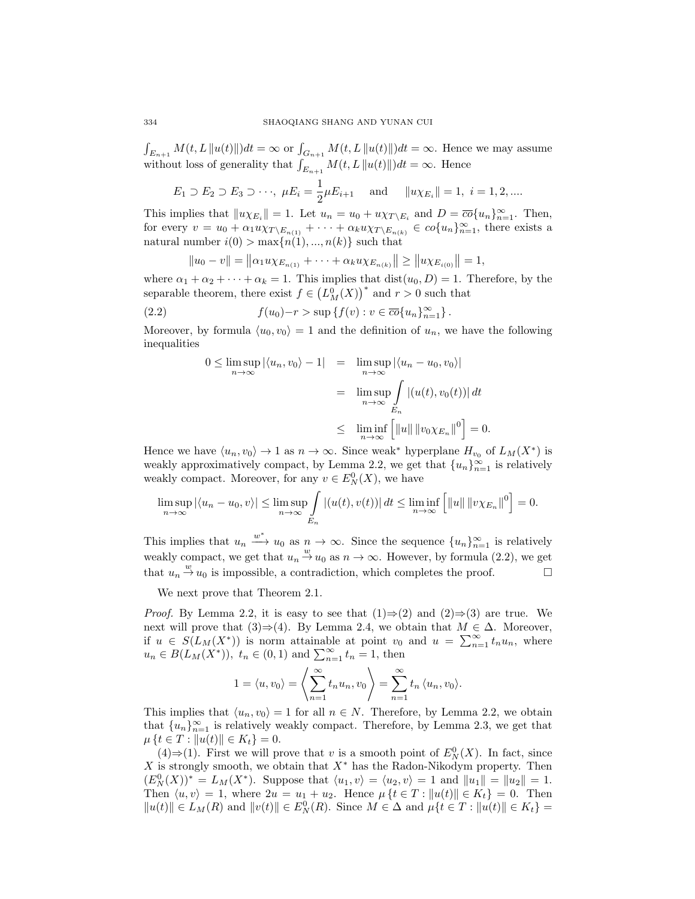$\int_{E_{n+1}} M(t,L\|u(t)\|)dt = \infty$  or  $\int_{G_{n+1}} M(t,L\|u(t)\|)dt = \infty$ . Hence we may assume without loss of generality that  $\int_{E_{n+1}} M(t, L\|u(t)\|) dt = \infty$ . Hence

$$
E_1 \supset E_2 \supset E_3 \supset \cdots
$$
,  $\mu E_i = \frac{1}{2} \mu E_{i+1}$  and  $||u \chi_{E_i}|| = 1$ ,  $i = 1, 2, \dots$ 

This implies that  $||u \chi_{E_i}|| = 1$ . Let  $u_n = u_0 + u \chi_{T \setminus E_i}$  and  $D = \overline{co} \{u_n\}_{n=1}^{\infty}$ . Then, for every  $v = u_0 + \alpha_1 u \chi_{T \setminus E_{n(1)}} + \cdots + \alpha_k u \chi_{T \setminus E_{n(k)}} \in co\{u_n\}_{n=1}^{\infty}$ , there exists a natural number  $i(0) > \max\{n(1), ..., n(k)\}\$  such that

$$
||u_0 - v|| = ||\alpha_1 u \chi_{E_{n(1)}} + \cdots + \alpha_k u \chi_{E_{n(k)}}|| \ge ||u \chi_{E_{i(0)}}|| = 1,
$$

where  $\alpha_1 + \alpha_2 + \cdots + \alpha_k = 1$ . This implies that  $dist(u_0, D) = 1$ . Therefore, by the separable theorem, there exist  $f \in (L^0_M(X))^*$  and  $r > 0$  such that

(2.2) 
$$
f(u_0)-r>\sup\left\{f(v):v\in\overline{co}\{u_n\}_{n=1}^{\infty}\right\}.
$$

Moreover, by formula  $\langle u_0, v_0 \rangle = 1$  and the definition of  $u_n$ , we have the following inequalities

$$
0 \le \limsup_{n \to \infty} |\langle u_n, v_0 \rangle - 1| = \limsup_{n \to \infty} |\langle u_n - u_0, v_0 \rangle|
$$
  
= 
$$
\limsup_{n \to \infty} \int_{E_n} |(u(t), v_0(t))| dt
$$
  

$$
\le \liminf_{n \to \infty} [||u|| ||v_0 \chi_{E_n}||^0] = 0.
$$

Hence we have  $\langle u_n, v_0 \rangle \to 1$  as  $n \to \infty$ . Since weak<sup>\*</sup> hyperplane  $H_{v_0}$  of  $L_M(X^*)$  is weakly approximatively compact, by Lemma 2.2, we get that  ${u_n}_{n=1}^{\infty}$  is relatively weakly compact. Moreover, for any  $v \in E_N^0(X)$ , we have

$$
\limsup_{n\to\infty} |\langle u_n - u_0, v \rangle| \le \limsup_{n\to\infty} \int_{E_n} |(u(t), v(t))| dt \le \liminf_{n\to\infty} \left[ ||u|| \, ||v\chi_{E_n}||^0 \right] = 0.
$$

This implies that  $u_n \xrightarrow{w^*} u_0$  as  $n \to \infty$ . Since the sequence  $\{u_n\}_{n=1}^{\infty}$  is relatively weakly compact, we get that  $u_n \stackrel{w}{\rightarrow} u_0$  as  $n \to \infty$ . However, by formula (2.2), we get that  $u_n \stackrel{w}{\rightarrow} u_0$  is impossible, a contradiction, which completes the proof.

We next prove that Theorem 2.1.

*Proof.* By Lemma 2.2, it is easy to see that  $(1) \Rightarrow (2)$  and  $(2) \Rightarrow (3)$  are true. We next will prove that  $(3) \Rightarrow (4)$ . By Lemma 2.4, we obtain that  $M \in \Delta$ . Moreover, if  $u \in S(L_M(X^*))$  is norm attainable at point  $v_0$  and  $u = \sum_{n=1}^{\infty} t_n u_n$ , where  $u_n \in B(L_M(X^*)), t_n \in (0,1)$  and  $\sum_{n=1}^{\infty} t_n = 1$ , then

$$
1 = \langle u, v_0 \rangle = \left\langle \sum_{n=1}^{\infty} t_n u_n, v_0 \right\rangle = \sum_{n=1}^{\infty} t_n \langle u_n, v_0 \rangle.
$$

This implies that  $\langle u_n, v_0 \rangle = 1$  for all  $n \in N$ . Therefore, by Lemma 2.2, we obtain that  ${u_n}_{n=1}^{\infty}$  is relatively weakly compact. Therefore, by Lemma 2.3, we get that  $\mu \{t \in T : ||u(t)|| \in K_t\} = 0.$ 

(4)⇒(1). First we will prove that v is a smooth point of  $E_N^0(X)$ . In fact, since X is strongly smooth, we obtain that  $X^*$  has the Radon-Nikodym property. Then  $(E_N^0(X))^* = L_M(X^*)$ . Suppose that  $\langle u_1, v \rangle = \langle u_2, v \rangle = 1$  and  $||u_1|| = ||u_2|| = 1$ . Then  $\langle u, v \rangle = 1$ , where  $2u = u_1 + u_2$ . Hence  $\mu \{t \in T : ||u(t)|| \in K_t\} = 0$ . Then  $||u(t)|| \in L_M(R)$  and  $||v(t)|| \in E_N^0(R)$ . Since  $M \in \Delta$  and  $\mu\{t \in T : ||u(t)|| \in K_t\}$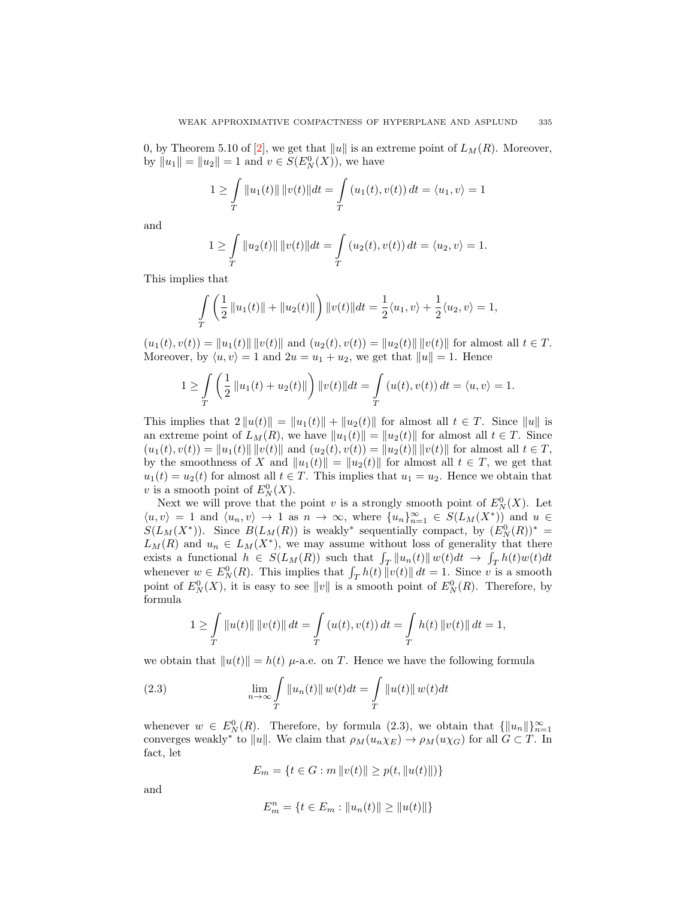0, by Theorem 5.10 of [\[2\]](#page-18-5), we get that  $||u||$  is an extreme point of  $L_M(R)$ . Moreover, by  $||u_1|| = ||u_2|| = 1$  and  $v \in S(E_N^0(X))$ , we have

$$
1 \ge \int_{T} ||u_1(t)|| \, ||v(t)|| \, dt = \int_{T} (u_1(t), v(t)) \, dt = \langle u_1, v \rangle = 1
$$

and

$$
1 \geq \int_{T} ||u_2(t)|| \, ||v(t)|| \, dt = \int_{T} (u_2(t), v(t)) \, dt = \langle u_2, v \rangle = 1.
$$

This implies that

$$
\int_{T} \left( \frac{1}{2} ||u_1(t)|| + ||u_2(t)|| \right) ||v(t)|| dt = \frac{1}{2} \langle u_1, v \rangle + \frac{1}{2} \langle u_2, v \rangle = 1,
$$

 $(u_1(t), v(t)) = ||u_1(t)|| ||v(t)||$  and  $(u_2(t), v(t)) = ||u_2(t)|| ||v(t)||$  for almost all  $t \in T$ . Moreover, by  $\langle u, v \rangle = 1$  and  $2u = u_1 + u_2$ , we get that  $||u|| = 1$ . Hence

$$
1 \ge \int_{T} \left( \frac{1}{2} ||u_1(t) + u_2(t)|| \right) ||v(t)|| dt = \int_{T} (u(t), v(t)) dt = \langle u, v \rangle = 1.
$$

This implies that  $2||u(t)|| = ||u_1(t)|| + ||u_2(t)||$  for almost all  $t \in T$ . Since  $||u||$  is an extreme point of  $L_M(R)$ , we have  $||u_1(t)|| = ||u_2(t)||$  for almost all  $t \in T$ . Since  $(u_1(t), v(t)) = ||u_1(t)|| \, ||v(t)||$  and  $(u_2(t), v(t)) = ||u_2(t)|| \, ||v(t)||$  for almost all  $t \in T$ , by the smoothness of X and  $||u_1(t)|| = ||u_2(t)||$  for almost all  $t \in T$ , we get that  $u_1(t) = u_2(t)$  for almost all  $t \in T$ . This implies that  $u_1 = u_2$ . Hence we obtain that v is a smooth point of  $E_N^0(X)$ .

Next we will prove that the point v is a strongly smooth point of  $E_N^0(X)$ . Let  $\langle u, v \rangle = 1$  and  $\langle u_n, v \rangle \to 1$  as  $n \to \infty$ , where  $\{u_n\}_{n=1}^{\infty} \in S(L_M(X^*))$  and  $u \in$  $S(L_M(X^*))$ . Since  $B(L_M(R))$  is weakly<sup>\*</sup> sequentially compact, by  $(E_N^0(R))^*$  =  $L_M(R)$  and  $u_n \in L_M(X^*)$ , we may assume without loss of generality that there exists a functional  $h \in S(L_M(R))$  such that  $\int_T ||u_n(t)|| \, w(t) dt \to \int_T h(t) w(t) dt$ whenever  $w \in E_N^0(R)$ . This implies that  $\int_T h(t) ||v(t)|| dt = 1$ . Since v is a smooth point of  $E_N^0(X)$ , it is easy to see  $||v||$  is a smooth point of  $E_N^0(R)$ . Therefore, by formula

$$
1 \geq \int_{T} ||u(t)|| \, ||v(t)|| \, dt = \int_{T} (u(t), v(t)) \, dt = \int_{T} h(t) \, ||v(t)|| \, dt = 1,
$$

we obtain that  $||u(t)|| = h(t)$   $\mu$ -a.e. on T. Hence we have the following formula

(2.3) 
$$
\lim_{n \to \infty} \int_{T} ||u_n(t)|| w(t) dt = \int_{T} ||u(t)|| w(t) dt
$$

whenever  $w \in E_N^0(R)$ . Therefore, by formula (2.3), we obtain that  $\{\|u_n\|\}_{n=1}^\infty$ converges weakly<sup>\*</sup> to  $||u||$ . We claim that  $\rho_M(u_n\chi_E) \to \rho_M(u\chi_G)$  for all  $G \subset T$ . In fact, let

$$
E_m = \{ t \in G : m \|v(t)\| \ge p(t, \|u(t)\|) \}
$$

and

$$
E_m^n = \{ t \in E_m : ||u_n(t)|| \ge ||u(t)|| \}
$$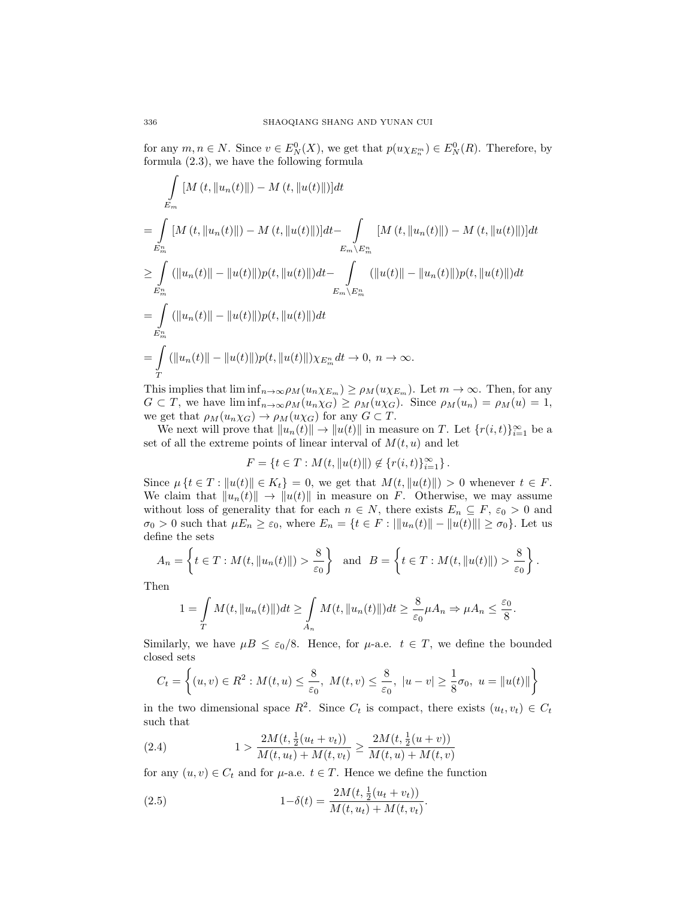for any  $m, n \in N$ . Since  $v \in E_N^0(X)$ , we get that  $p(u \chi_{E_n^m}) \in E_N^0(R)$ . Therefore, by formula (2.3), we have the following formula

$$
\int_{E_m} [M(t, ||u_n(t)||) - M(t, ||u(t)||)]dt
$$
\n=
$$
\int_{E_m^n} [M(t, ||u_n(t)||) - M(t, ||u(t)||)]dt - \int_{E_m \setminus E_m^n} [M(t, ||u_n(t)||) - M(t, ||u(t)||)]dt
$$
\n
$$
\geq \int_{E_m^n} (||u_n(t)|| - ||u(t)||)p(t, ||u(t)||)dt - \int_{E_m \setminus E_m^n} (||u(t)|| - ||u_n(t)||)p(t, ||u(t)||)dt
$$
\n=
$$
\int_{E_m^n} (||u_n(t)|| - ||u(t)||)p(t, ||u(t)||)dt
$$
\n=
$$
\int_{E_m^n} (||u_n(t)|| - ||u(t)||)p(t, ||u(t)||))\times E_m^n dt \to 0, n \to \infty.
$$

This implies that  $\liminf_{n\to\infty}\rho_M(u_n\chi_{E_m})\geq \rho_M(u\chi_{E_m})$ . Let  $m\to\infty$ . Then, for any  $G \subset T$ , we have  $\liminf_{n\to\infty} \rho_M(u_n\chi_G) \geq \rho_M(u\chi_G)$ . Since  $\rho_M(u_n) = \rho_M(u) = 1$ , we get that  $\rho_M(u_n\chi_G) \to \rho_M(u\chi_G)$  for any  $G \subset T$ .

We next will prove that  $||u_n(t)|| \to ||u(t)||$  in measure on T. Let  $\{r(i, t)\}_{i=1}^{\infty}$  be a set of all the extreme points of linear interval of  $M(t, u)$  and let

 $F = \{t \in T : M(t, ||u(t)||) \notin \{r(i, t)\}_{i=1}^{\infty}\}.$ 

Since  $\mu \{t \in T : ||u(t)|| \in K_t\} = 0$ , we get that  $M(t, ||u(t)||) > 0$  whenever  $t \in F$ . We claim that  $||u_n(t)|| \to ||u(t)||$  in measure on F. Otherwise, we may assume without loss of generality that for each  $n \in N$ , there exists  $E_n \subseteq F$ ,  $\varepsilon_0 > 0$  and  $\sigma_0 > 0$  such that  $\mu E_n \ge \varepsilon_0$ , where  $E_n = \{t \in F : |||u_n(t)|| - ||u(t)||| \ge \sigma_0\}$ . Let us define the sets

$$
A_n = \left\{ t \in T : M(t, \|u_n(t)\|) > \frac{8}{\varepsilon_0} \right\} \text{ and } B = \left\{ t \in T : M(t, \|u(t)\|) > \frac{8}{\varepsilon_0} \right\}.
$$

Then

$$
1 = \int_{T} M(t, \|u_n(t)\|) dt \ge \int_{A_n} M(t, \|u_n(t)\|) dt \ge \frac{8}{\varepsilon_0} \mu A_n \Rightarrow \mu A_n \le \frac{\varepsilon_0}{8}.
$$

Similarly, we have  $\mu B \leq \varepsilon_0/8$ . Hence, for  $\mu$ -a.e.  $t \in T$ , we define the bounded closed sets

$$
C_t = \left\{ (u, v) \in R^2 : M(t, u) \le \frac{8}{\varepsilon_0}, \ M(t, v) \le \frac{8}{\varepsilon_0}, \ |u - v| \ge \frac{1}{8}\sigma_0, \ u = \|u(t)\| \right\}
$$

in the two dimensional space  $R^2$ . Since  $C_t$  is compact, there exists  $(u_t, v_t) \in C_t$ such that

(2.4) 
$$
1 > \frac{2M(t, \frac{1}{2}(u_t + v_t))}{M(t, u_t) + M(t, v_t)} \ge \frac{2M(t, \frac{1}{2}(u + v))}{M(t, u) + M(t, v)}
$$

for any  $(u, v) \in C_t$  and for  $\mu$ -a.e.  $t \in T$ . Hence we define the function

(2.5) 
$$
1 - \delta(t) = \frac{2M(t, \frac{1}{2}(u_t + v_t))}{M(t, u_t) + M(t, v_t)}.
$$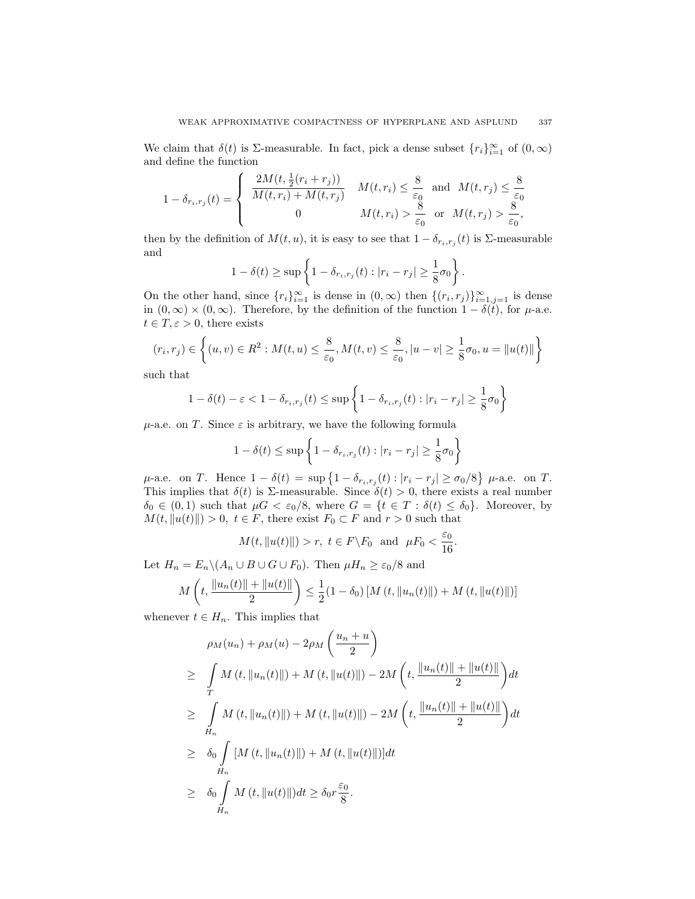We claim that  $\delta(t)$  is  $\Sigma$ -measurable. In fact, pick a dense subset  $\{r_i\}_{i=1}^{\infty}$  of  $(0,\infty)$ and define the function

$$
1 - \delta_{r_i, r_j}(t) = \begin{cases} \frac{2M(t, \frac{1}{2}(r_i + r_j))}{M(t, r_i) + M(t, r_j)} & M(t, r_i) \leq \frac{8}{\varepsilon_0} \\ 0 & M(t, r_i) > \frac{8}{\varepsilon_0} \end{cases}
$$
 and  $M(t, r_j) \leq \frac{8}{\varepsilon_0}$ ,

then by the definition of  $M(t, u)$ , it is easy to see that  $1 - \delta_{r_i, r_j}(t)$  is  $\Sigma$ -measurable and

$$
1 - \delta(t) \ge \sup \left\{ 1 - \delta_{r_i, r_j}(t) : |r_i - r_j| \ge \frac{1}{8}\sigma_0 \right\}.
$$

On the other hand, since  $\{r_i\}_{i=1}^{\infty}$  is dense in  $(0,\infty)$  then  $\{(r_i,r_j)\}_{i=1,j=1}^{\infty}$  is dense in  $(0, \infty) \times (0, \infty)$ . Therefore, by the definition of the function  $1 - \delta(\tilde{t})$ , for  $\mu$ -a.e.  $t \in T, \varepsilon > 0$ , there exists

$$
(r_i, r_j) \in \left\{ (u, v) \in R^2 : M(t, u) \le \frac{8}{\varepsilon_0}, M(t, v) \le \frac{8}{\varepsilon_0}, |u - v| \ge \frac{1}{8}\sigma_0, u = ||u(t)|| \right\}
$$

such that

$$
1 - \delta(t) - \varepsilon < 1 - \delta_{r_i, r_j}(t) \le \sup\left\{1 - \delta_{r_i, r_j}(t) : |r_i - r_j| \ge \frac{1}{8}\sigma_0\right\}
$$

 $\mu$ -a.e. on T. Since  $\varepsilon$  is arbitrary, we have the following formula

$$
1 - \delta(t) \le \sup \left\{ 1 - \delta_{r_i, r_j}(t) : |r_i - r_j| \ge \frac{1}{8}\sigma_0 \right\}
$$

 $μ$ -a.e. on T. Hence 1 − δ(t) = sup {1 − δ<sub>ri,rj</sub>(t) : |r<sub>i</sub> − r<sub>j</sub>| ≥  $σ_0/8$ }  $μ$ -a.e. on T. This implies that  $\delta(t)$  is  $\Sigma$ -measurable. Since  $\delta(t) > 0$ , there exists a real number  $\delta_0 \in (0,1)$  such that  $\mu G < \varepsilon_0/8$ , where  $G = \{t \in T : \delta(t) \leq \delta_0\}$ . Moreover, by  $M(t, ||u(t)||) > 0, t \in F$ , there exist  $F_0 \subset F$  and  $r > 0$  such that

$$
M(t, \|u(t)\|) > r, \ t \in F\backslash F_0 \text{ and } \mu F_0 < \frac{\varepsilon_0}{16}.
$$

Let  $H_n = E_n \setminus (A_n \cup B \cup G \cup F_0)$ . Then  $\mu H_n \geq \varepsilon_0/8$  and

$$
M\left(t, \frac{\|u_n(t)\| + \|u(t)\|}{2}\right) \le \frac{1}{2}(1 - \delta_0) \left[M\left(t, \|u_n(t)\|\right) + M\left(t, \|u(t)\|\right)\right]
$$

whenever  $t \in H_n$ . This implies that

$$
\rho_M(u_n) + \rho_M(u) - 2\rho_M\left(\frac{u_n + u}{2}\right)
$$
  
\n
$$
\geq \int_{T} M(t, \|u_n(t)\|) + M(t, \|u(t)\|) - 2M\left(t, \frac{\|u_n(t)\| + \|u(t)\|}{2}\right) dt
$$
  
\n
$$
\geq \int_{H_n} M(t, \|u_n(t)\|) + M(t, \|u(t)\|) - 2M\left(t, \frac{\|u_n(t)\| + \|u(t)\|}{2}\right) dt
$$
  
\n
$$
\geq \delta_0 \int_{H_n} [M(t, \|u_n(t)\|) + M(t, \|u(t)\|)] dt
$$
  
\n
$$
\geq \delta_0 \int_{H_n} M(t, \|u(t)\|) dt \geq \delta_0 r \frac{\varepsilon_0}{8}.
$$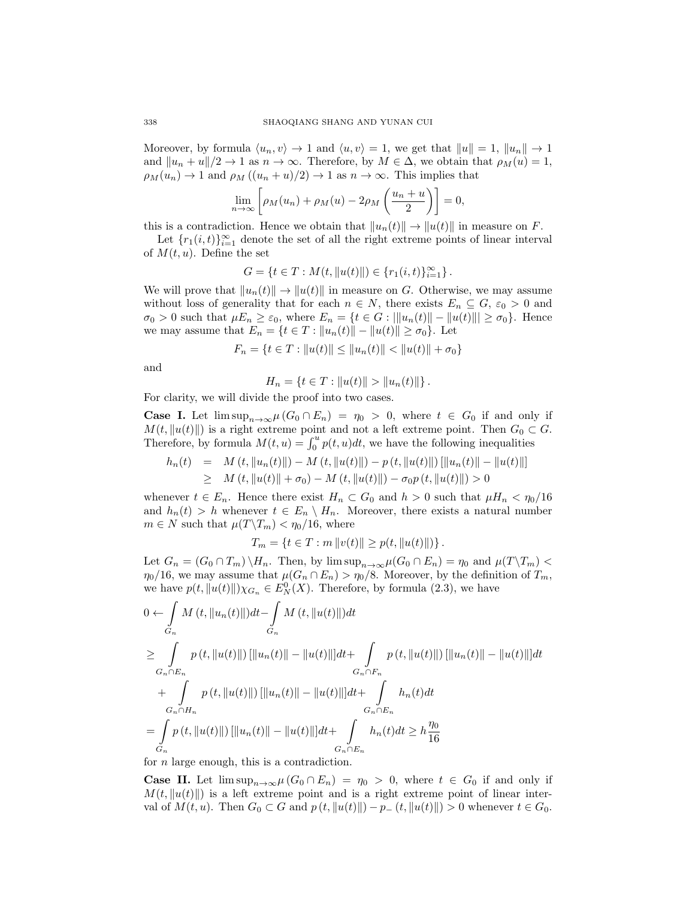Moreover, by formula  $\langle u_n, v \rangle \to 1$  and  $\langle u, v \rangle = 1$ , we get that  $||u|| = 1$ ,  $||u_n|| \to 1$ and  $||u_n + u||/2 \to 1$  as  $n \to \infty$ . Therefore, by  $M \in \Delta$ , we obtain that  $\rho_M(u) = 1$ ,  $\rho_M(u_n) \to 1$  and  $\rho_M((u_n + u)/2) \to 1$  as  $n \to \infty$ . This implies that

$$
\lim_{n \to \infty} \left[ \rho_M(u_n) + \rho_M(u) - 2\rho_M\left(\frac{u_n + u}{2}\right) \right] = 0,
$$

this is a contradiction. Hence we obtain that  $||u_n(t)|| \to ||u(t)||$  in measure on F.

Let  ${r_1(i, t)}_{i=1}^{\infty}$  denote the set of all the right extreme points of linear interval of  $M(t, u)$ . Define the set

$$
G = \{ t \in T : M(t, ||u(t)||) \in \{ r_1(i, t) \}_{i=1}^{\infty} \}.
$$

We will prove that  $||u_n(t)|| \to ||u(t)||$  in measure on G. Otherwise, we may assume without loss of generality that for each  $n \in N$ , there exists  $E_n \subseteq G$ ,  $\varepsilon_0 > 0$  and  $\sigma_0 > 0$  such that  $\mu E_n \geq \varepsilon_0$ , where  $E_n = \{t \in G : ||u_n(t)|| - ||u(t)|| \geq \sigma_0\}$ . Hence we may assume that  $E_n = \{t \in T : ||u_n(t)|| - ||u(t)|| \ge \sigma_0\}$ . Let

$$
F_n = \{ t \in T : ||u(t)|| \le ||u_n(t)|| < ||u(t)|| + \sigma_0 \}
$$

and

$$
H_n = \{ t \in T : ||u(t)|| > ||u_n(t)|| \}.
$$

For clarity, we will divide the proof into two cases.

**Case I.** Let  $\limsup_{n\to\infty}\mu(G_0\cap E_n) = \eta_0 > 0$ , where  $t \in G_0$  if and only if  $M(t, ||u(t)||)$  is a right extreme point and not a left extreme point. Then  $G_0 \subset G$ . Therefore, by formula  $M(t, u) = \int_0^u p(t, u) dt$ , we have the following inequalities

$$
h_n(t) = M(t, \|u_n(t)\|) - M(t, \|u(t)\|) - p(t, \|u(t)\|) [\|u_n(t)\| - \|u(t)\|]
$$
  
\n
$$
\geq M(t, \|u(t)\| + \sigma_0) - M(t, \|u(t)\|) - \sigma_0 p(t, \|u(t)\|) > 0
$$

whenever  $t \in E_n$ . Hence there exist  $H_n \subset G_0$  and  $h > 0$  such that  $\mu H_n < \eta_0/16$ and  $h_n(t) > h$  whenever  $t \in E_n \setminus H_n$ . Moreover, there exists a natural number  $m \in N$  such that  $\mu(T\backslash T_m) < \eta_0/16$ , where

$$
T_m = \{ t \in T : m ||v(t)|| \ge p(t, ||u(t)||) \}.
$$

Let  $G_n = (G_0 \cap T_m) \setminus H_n$ . Then, by  $\limsup_{n \to \infty} \mu(G_0 \cap E_n) = \eta_0$  and  $\mu(T \setminus T_m)$  $\eta_0/16$ , we may assume that  $\mu(G_n \cap E_n) > \eta_0/8$ . Moreover, by the definition of  $T_m$ , we have  $p(t, ||u(t)||) \chi_{G_n} \in E_N^0(X)$ . Therefore, by formula (2.3), we have

$$
0 \leftarrow \int_{G_n} M(t, \|u_n(t)\|)dt - \int_{G_n} M(t, \|u(t)\|)dt
$$
  
\n
$$
\geq \int_{G_n \cap E_n} p(t, \|u(t)\|) [\|u_n(t)\| - \|u(t)\|]dt + \int_{G_n \cap F_n} p(t, \|u(t)\|) [\|u_n(t)\| - \|u(t)\|]dt
$$
  
\n
$$
+ \int_{G_n \cap H_n} p(t, \|u(t)\|) [\|u_n(t)\| - \|u(t)\|]dt + \int_{G_n \cap E_n} h_n(t)dt
$$
  
\n
$$
= \int_{G_n} p(t, \|u(t)\|) [\|u_n(t)\| - \|u(t)\|]dt + \int_{G_n \cap E_n} h_n(t)dt \geq h \frac{\eta_0}{16}
$$

for n large enough, this is a contradiction.

**Case II.** Let  $\limsup_{n\to\infty} \mu(G_0 \cap E_n) = \eta_0 > 0$ , where  $t \in G_0$  if and only if  $M(t, ||u(t)||)$  is a left extreme point and is a right extreme point of linear interval of  $M(t, u)$ . Then  $G_0 \subset G$  and  $p(t, ||u(t)||) - p_-(t, ||u(t)||) > 0$  whenever  $t \in G_0$ .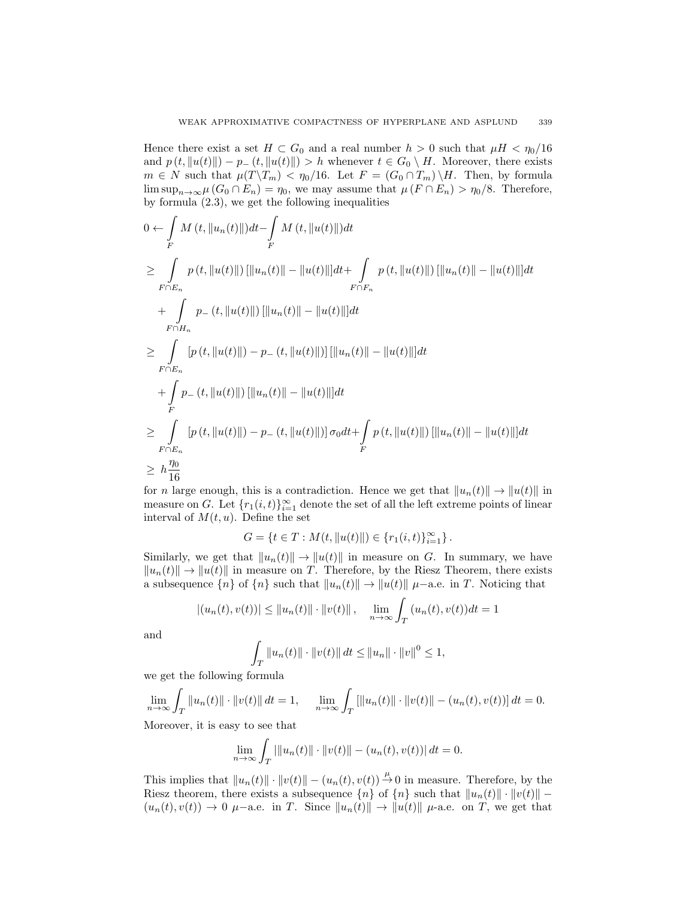Hence there exist a set  $H \subset G_0$  and a real number  $h > 0$  such that  $\mu H < \eta_0/16$ and  $p(t, ||u(t)||) - p_-(t, ||u(t)||) > h$  whenever  $t \in G_0 \setminus H$ . Moreover, there exists  $m \in N$  such that  $\mu(T\backslash T_m) < \eta_0/16$ . Let  $F = (G_0 \cap T_m) \backslash H$ . Then, by formula  $\limsup_{n\to\infty}\mu(G_0\cap E_n)=\eta_0$ , we may assume that  $\mu(F\cap E_n)>\eta_0/8$ . Therefore, by formula (2.3), we get the following inequalities

$$
0 \leftarrow \int_{F} M(t, ||u_{n}(t)||)dt - \int_{F} M(t, ||u(t)||)dt
$$
  
\n
$$
\geq \int_{F \cap E_{n}} p(t, ||u(t)||) [||u_{n}(t)|| - ||u(t)||]dt + \int_{F \cap F_{n}} p(t, ||u(t)||) [||u_{n}(t)|| - ||u(t)||]dt
$$
  
\n
$$
+ \int_{F \cap H_{n}} p_{-}(t, ||u(t)||) [||u_{n}(t)|| - ||u(t)||]dt
$$
  
\n
$$
\geq \int_{F \cap E_{n}} [p(t, ||u(t)||) - p_{-}(t, ||u(t)||)] [||u_{n}(t)|| - ||u(t)||]dt
$$
  
\n
$$
+ \int_{F} p_{-}(t, ||u(t)||) [||u_{n}(t)|| - ||u(t)||]dt
$$
  
\n
$$
\geq \int_{F \cap E_{n}} [p(t, ||u(t)||) - p_{-}(t, ||u(t)||)] \sigma_{0}dt + \int_{F} p(t, ||u(t)||) [||u_{n}(t)|| - ||u(t)||]dt
$$
  
\n
$$
\geq h \frac{\eta_{0}}{16}
$$

for n large enough, this is a contradiction. Hence we get that  $||u_n(t)|| \to ||u(t)||$  in measure on G. Let  ${r_1(i, t)}_{i=1}^{\infty}$  denote the set of all the left extreme points of linear interval of  $M(t, u)$ . Define the set

 $G = \{t \in T : M(t, ||u(t)||) \in \{r_1(i, t)\}_{i=1}^{\infty}\}.$ 

Similarly, we get that  $||u_n(t)|| \to ||u(t)||$  in measure on G. In summary, we have  $||u_n(t)|| \to ||u(t)||$  in measure on T. Therefore, by the Riesz Theorem, there exists a subsequence  ${n}$  of  ${n}$  such that  $||u_n(t)|| \rightarrow ||u(t)||$   $\mu$ −a.e. in T. Noticing that

$$
|(u_n(t), v(t))| \le ||u_n(t)|| \cdot ||v(t)||
$$
,  $\lim_{n \to \infty} \int_T (u_n(t), v(t)) dt = 1$ 

and

$$
\int_{T} ||u_n(t)|| \cdot ||v(t)|| dt \le ||u_n|| \cdot ||v||^{0} \le 1,
$$

we get the following formula

$$
\lim_{n \to \infty} \int_T \|u_n(t)\| \cdot \|v(t)\| \, dt = 1, \quad \lim_{n \to \infty} \int_T \left[ \|u_n(t)\| \cdot \|v(t)\| - (u_n(t), v(t)) \right] dt = 0.
$$

Moreover, it is easy to see that

$$
\lim_{n \to \infty} \int_T ||u_n(t)|| \cdot ||v(t)|| - (u_n(t), v(t))| dt = 0.
$$

This implies that  $||u_n(t)|| \cdot ||v(t)|| - (u_n(t), v(t)) \stackrel{\mu}{\to} 0$  in measure. Therefore, by the Riesz theorem, there exists a subsequence  ${n}$  of  ${n}$  such that  $||u_n(t)|| \cdot ||v(t)||$  –  $(u_n(t), v(t)) \to 0$   $\mu$ -a.e. in T. Since  $||u_n(t)|| \to ||u(t)||$   $\mu$ -a.e. on T, we get that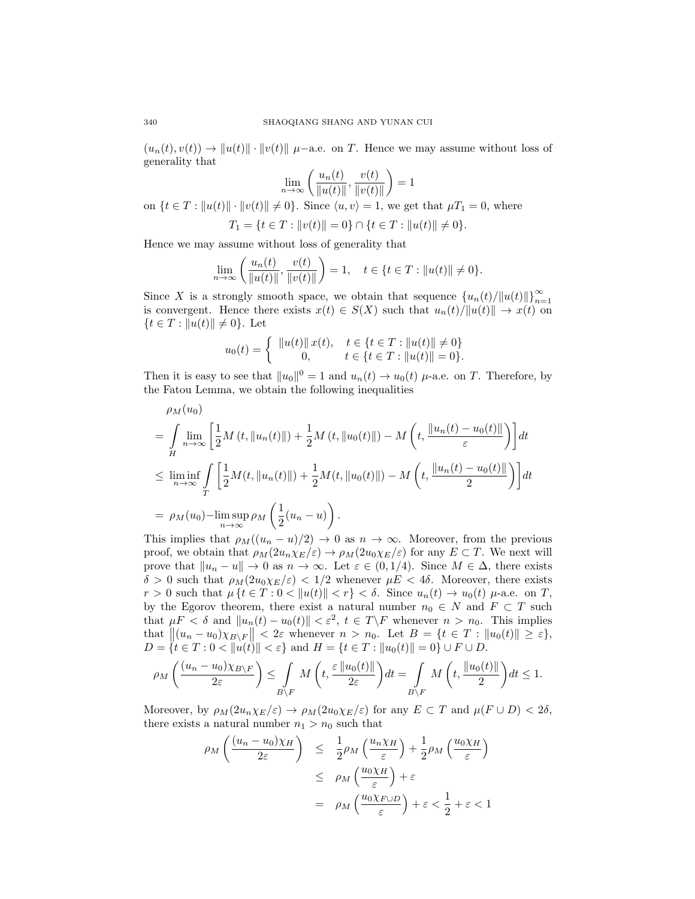$(u_n(t), v(t)) \to ||u(t)|| \cdot ||v(t)||$   $\mu$ –a.e. on T. Hence we may assume without loss of generality that

$$
\lim_{n \to \infty} \left( \frac{u_n(t)}{\|u(t)\|}, \frac{v(t)}{\|v(t)\|} \right) = 1
$$

on  $\{t \in T : ||u(t)|| \cdot ||v(t)|| \neq 0\}$ . Since  $\langle u, v \rangle = 1$ , we get that  $\mu T_1 = 0$ , where  $T_1 = \{t \in T : ||v(t)|| = 0\} \cap \{t \in T : ||u(t)|| \neq 0\}.$ 

Hence we may assume without loss of generality that

$$
\lim_{n \to \infty} \left( \frac{u_n(t)}{\|u(t)\|}, \frac{v(t)}{\|v(t)\|} \right) = 1, \quad t \in \{t \in T : \|u(t)\| \neq 0\}.
$$

Since X is a strongly smooth space, we obtain that sequence  ${u_n(t)}/{\|u(t)\|}\}_{n=1}^{\infty}$ is convergent. Hence there exists  $x(t) \in S(X)$  such that  $u_n(t)/||u(t)|| \to x(t)$  on  ${t \in T : ||u(t)|| \neq 0}.$  Let

$$
u_0(t) = \begin{cases} ||u(t)|| \, x(t), & t \in \{t \in T : ||u(t)|| \neq 0\} \\ 0, & t \in \{t \in T : ||u(t)|| = 0\}. \end{cases}
$$

Then it is easy to see that  $||u_0||^0 = 1$  and  $u_n(t) \to u_0(t)$   $\mu$ -a.e. on T. Therefore, by the Fatou Lemma, we obtain the following inequalities

$$
\rho_M(u_0) = \int_H \lim_{n \to \infty} \left[ \frac{1}{2} M(t, \|u_n(t)\|) + \frac{1}{2} M(t, \|u_0(t)\|) - M\left(t, \frac{\|u_n(t) - u_0(t)\|}{\varepsilon}\right) \right] dt
$$
  
\n
$$
\leq \liminf_{n \to \infty} \int_T \left[ \frac{1}{2} M(t, \|u_n(t)\|) + \frac{1}{2} M(t, \|u_0(t)\|) - M\left(t, \frac{\|u_n(t) - u_0(t)\|}{2}\right) \right] dt
$$
  
\n
$$
= \rho_M(u_0) - \limsup_{n \to \infty} \rho_M\left(\frac{1}{2}(u_n - u)\right).
$$

This implies that  $\rho_M((u_n - u)/2) \to 0$  as  $n \to \infty$ . Moreover, from the previous proof, we obtain that  $\rho_M(2u_n\chi_E/\varepsilon) \to \rho_M(2u_0\chi_E/\varepsilon)$  for any  $E \subset T$ . We next will prove that  $||u_n - u|| \to 0$  as  $n \to \infty$ . Let  $\varepsilon \in (0, 1/4)$ . Since  $M \in \Delta$ , there exists  $\delta > 0$  such that  $\rho_M(2u_0\chi_E/\varepsilon) < 1/2$  whenever  $\mu E < 4\delta$ . Moreover, there exists  $r > 0$  such that  $\mu \{t \in T : 0 < ||u(t)|| < r \} < \delta$ . Since  $u_n(t) \to u_0(t)$   $\mu$ -a.e. on T, by the Egorov theorem, there exist a natural number  $n_0 \in N$  and  $F \subset T$  such that  $\mu F < \delta$  and  $||u_n(t) - u_0(t)|| < \varepsilon^2$ ,  $t \in T\ F$  whenever  $n > n_0$ . This implies that  $\|(u_n - u_0)\chi_{B\setminus F}\| < 2\varepsilon$  whenever  $n > n_0$ . Let  $B = \{t \in T : ||u_0(t)|| \ge \varepsilon\},$  $D = \{t \in T : 0 < ||u(t)|| < \varepsilon\}$  and  $H = \{t \in T : ||u_0(t)|| = 0\} \cup F \cup D$ .

$$
\rho_M\left(\frac{(u_n-u_0)\chi_{B\setminus F}}{2\varepsilon}\right)\leq \int\limits_{B\setminus F}M\left(t,\frac{\varepsilon\left\|u_0(t)\right\|}{2\varepsilon}\right)dt=\int\limits_{B\setminus F}M\left(t,\frac{\left\|u_0(t)\right\|}{2}\right)dt\leq 1.
$$

Moreover, by  $\rho_M(2u_n\chi_E/\varepsilon) \to \rho_M(2u_0\chi_E/\varepsilon)$  for any  $E \subset T$  and  $\mu(F \cup D) < 2\delta$ , there exists a natural number  $n_1 > n_0$  such that

$$
\rho_M\left(\frac{(u_n - u_0)\chi_H}{2\varepsilon}\right) \leq \frac{1}{2}\rho_M\left(\frac{u_n\chi_H}{\varepsilon}\right) + \frac{1}{2}\rho_M\left(\frac{u_0\chi_H}{\varepsilon}\right)
$$

$$
\leq \rho_M\left(\frac{u_0\chi_H}{\varepsilon}\right) + \varepsilon
$$

$$
= \rho_M\left(\frac{u_0\chi_{F \cup D}}{\varepsilon}\right) + \varepsilon < \frac{1}{2} + \varepsilon < 1
$$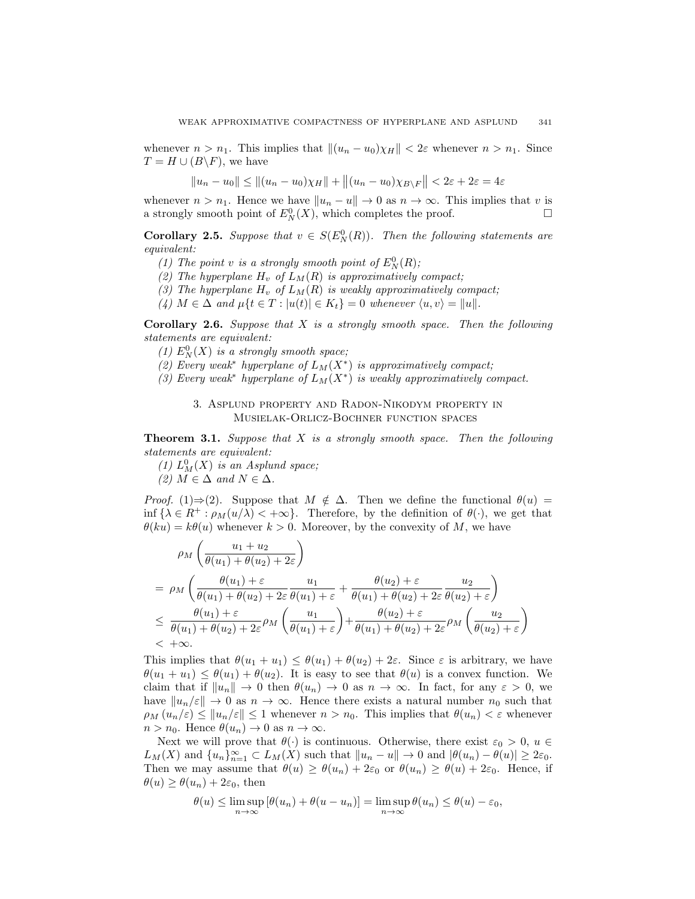whenever  $n > n_1$ . This implies that  $\|(u_n - u_0)\chi_H\| < 2\varepsilon$  whenever  $n > n_1$ . Since  $T = H \cup (B \backslash F)$ , we have

$$
||u_n - u_0|| \le ||(u_n - u_0)\chi_H|| + ||(u_n - u_0)\chi_{B\setminus F}|| < 2\varepsilon + 2\varepsilon = 4\varepsilon
$$

whenever  $n > n_1$ . Hence we have  $||u_n - u|| \to 0$  as  $n \to \infty$ . This implies that v is a strongly smooth point of  $E_N^0(X)$ , which completes the proof.

**Corollary 2.5.** Suppose that  $v \in S(E_N^0(R))$ . Then the following statements are equivalent:

- (1) The point v is a strongly smooth point of  $E_N^0(R)$ ;
- (2) The hyperplane  $H_v$  of  $L_M(R)$  is approximatively compact;
- (3) The hyperplane  $H_v$  of  $L_M(R)$  is weakly approximatively compact;
- (4)  $M \in \Delta$  and  $\mu\{t \in T : |u(t)| \in K_t\} = 0$  whenever  $\langle u, v \rangle = ||u||$ .

**Corollary 2.6.** Suppose that  $X$  is a strongly smooth space. Then the following statements are equivalent:

- (1)  $E_N^0(X)$  is a strongly smooth space;
- (2) Every weak<sup>\*</sup> hyperplane of  $L_M(X^*)$  is approximatively compact;
- (3) Every weak<sup>\*</sup> hyperplane of  $L_M(X^*)$  is weakly approximatively compact.

## 3. Asplund property and Radon-Nikodym property in Musielak-Orlicz-Bochner function spaces

**Theorem 3.1.** Suppose that  $X$  is a strongly smooth space. Then the following statements are equivalent:

- (1)  $L_M^0(X)$  is an Asplund space;
- (2)  $M \in \Delta$  and  $N \in \Delta$ .

*Proof.* (1)⇒(2). Suppose that  $M \notin \Delta$ . Then we define the functional  $\theta(u)$  = inf  $\{\lambda \in R^+ : \rho_M(u/\lambda) < +\infty\}$ . Therefore, by the definition of  $\theta(\cdot)$ , we get that  $\theta(ku) = k\theta(u)$  whenever  $k > 0$ . Moreover, by the convexity of M, we have

$$
\rho_M\left(\frac{u_1+u_2}{\theta(u_1)+\theta(u_2)+2\varepsilon}\right)
$$
\n
$$
= \rho_M\left(\frac{\theta(u_1)+\varepsilon}{\theta(u_1)+\theta(u_2)+2\varepsilon}\frac{u_1}{\theta(u_1)+\varepsilon}+\frac{\theta(u_2)+\varepsilon}{\theta(u_1)+\theta(u_2)+2\varepsilon}\frac{u_2}{\theta(u_2)+\varepsilon}\right)
$$
\n
$$
\leq \frac{\theta(u_1)+\varepsilon}{\theta(u_1)+\theta(u_2)+2\varepsilon}\rho_M\left(\frac{u_1}{\theta(u_1)+\varepsilon}\right)+\frac{\theta(u_2)+\varepsilon}{\theta(u_1)+\theta(u_2)+2\varepsilon}\rho_M\left(\frac{u_2}{\theta(u_2)+\varepsilon}\right)
$$
\n
$$
< +\infty.
$$

This implies that  $\theta(u_1 + u_1) \leq \theta(u_1) + \theta(u_2) + 2\varepsilon$ . Since  $\varepsilon$  is arbitrary, we have  $\theta(u_1 + u_1) \leq \theta(u_1) + \theta(u_2)$ . It is easy to see that  $\theta(u)$  is a convex function. We claim that if  $||u_n|| \to 0$  then  $\theta(u_n) \to 0$  as  $n \to \infty$ . In fact, for any  $\varepsilon > 0$ , we have  $\|u_n/\varepsilon\| \to 0$  as  $n \to \infty$ . Hence there exists a natural number  $n_0$  such that  $\rho_M(u_n/\varepsilon) \leq ||u_n/\varepsilon|| \leq 1$  whenever  $n > n_0$ . This implies that  $\theta(u_n) < \varepsilon$  whenever  $n > n_0$ . Hence  $\theta(u_n) \to 0$  as  $n \to \infty$ .

Next we will prove that  $\theta(\cdot)$  is continuous. Otherwise, there exist  $\varepsilon_0 > 0$ ,  $u \in$  $L_M(X)$  and  $\{u_n\}_{n=1}^{\infty} \subset L_M(X)$  such that  $||u_n - u|| \to 0$  and  $|\theta(u_n) - \theta(u)| \geq 2\varepsilon_0$ . Then we may assume that  $\theta(u) \geq \theta(u_n) + 2\varepsilon_0$  or  $\theta(u_n) \geq \theta(u) + 2\varepsilon_0$ . Hence, if  $\theta(u) \geq \theta(u_n) + 2\varepsilon_0$ , then

$$
\theta(u) \le \limsup_{n \to \infty} \left[ \theta(u_n) + \theta(u - u_n) \right] = \limsup_{n \to \infty} \theta(u_n) \le \theta(u) - \varepsilon_0,
$$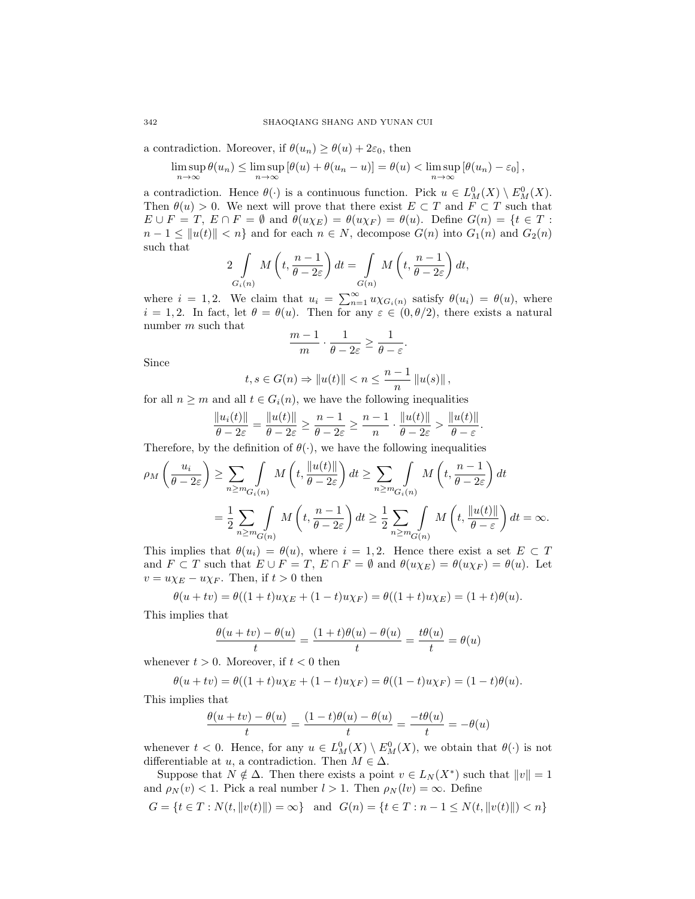### 342 SHAOQIANG SHANG AND YUNAN CUI

a contradiction. Moreover, if  $\theta(u_n) \geq \theta(u) + 2\varepsilon_0$ , then

$$
\limsup_{n \to \infty} \theta(u_n) \le \limsup_{n \to \infty} [\theta(u) + \theta(u_n - u)] = \theta(u) < \limsup_{n \to \infty} [\theta(u_n) - \varepsilon_0],
$$

a contradiction. Hence  $\theta(\cdot)$  is a continuous function. Pick  $u \in L^0_M(X) \setminus E^0_M(X)$ . Then  $\theta(u) > 0$ . We next will prove that there exist  $E \subset T$  and  $F \subset T$  such that  $E \cup F = T$ ,  $E \cap F = \emptyset$  and  $\theta(u\chi_E) = \theta(u\chi_F) = \theta(u)$ . Define  $G(n) = \{t \in T :$  $n-1 \leq ||u(t)|| < n$  and for each  $n \in N$ , decompose  $G(n)$  into  $G_1(n)$  and  $G_2(n)$ such that

$$
2\int\limits_{G_i(n)} M\left(t, \frac{n-1}{\theta - 2\varepsilon}\right) dt = \int\limits_{G(n)} M\left(t, \frac{n-1}{\theta - 2\varepsilon}\right) dt,
$$

where  $i = 1, 2$ . We claim that  $u_i = \sum_{n=1}^{\infty} u \chi_{G_i(n)}$  satisfy  $\theta(u_i) = \theta(u)$ , where  $i = 1, 2$ . In fact, let  $\theta = \theta(u)$ . Then for any  $\varepsilon \in (0, \theta/2)$ , there exists a natural number m such that

$$
\frac{m-1}{m} \cdot \frac{1}{\theta - 2\varepsilon} \ge \frac{1}{\theta - \varepsilon}
$$

.

Since

$$
t, s \in G(n) \Rightarrow ||u(t)|| < n \leq \frac{n-1}{n} ||u(s)||
$$
,

for all  $n \geq m$  and all  $t \in G_i(n)$ , we have the following inequalities

$$
\frac{\|u_i(t)\|}{\theta-2\varepsilon}=\frac{\|u(t)\|}{\theta-2\varepsilon}\geq \frac{n-1}{\theta-2\varepsilon}\geq \frac{n-1}{n}\cdot \frac{\|u(t)\|}{\theta-2\varepsilon}>\frac{\|u(t)\|}{\theta-\varepsilon}.
$$

Therefore, by the definition of  $\theta(\cdot)$ , we have the following inequalities

$$
\rho_M\left(\frac{u_i}{\theta - 2\varepsilon}\right) \ge \sum_{n \ge m} \int_{G_i(n)} M\left(t, \frac{\|u(t)\|}{\theta - 2\varepsilon}\right) dt \ge \sum_{n \ge m} \int_{G_i(n)} M\left(t, \frac{n-1}{\theta - 2\varepsilon}\right) dt
$$

$$
= \frac{1}{2} \sum_{n \ge m} \int_{G(n)} M\left(t, \frac{n-1}{\theta - 2\varepsilon}\right) dt \ge \frac{1}{2} \sum_{n \ge m} \int_{G(n)} M\left(t, \frac{\|u(t)\|}{\theta - \varepsilon}\right) dt = \infty.
$$

This implies that  $\theta(u_i) = \theta(u)$ , where  $i = 1, 2$ . Hence there exist a set  $E \subset T$ and  $F \subset T$  such that  $E \cup F = T$ ,  $E \cap F = \emptyset$  and  $\theta(u\chi_E) = \theta(u\chi_F) = \theta(u)$ . Let  $v = u \chi_E - u \chi_F$ . Then, if  $t > 0$  then

$$
\theta(u + tv) = \theta((1 + t)u\chi_E + (1 - t)u\chi_F) = \theta((1 + t)u\chi_E) = (1 + t)\theta(u).
$$

This implies that

$$
\frac{\theta(u+tv) - \theta(u)}{t} = \frac{(1+t)\theta(u) - \theta(u)}{t} = \frac{t\theta(u)}{t} = \theta(u)
$$

whenever  $t > 0$ . Moreover, if  $t < 0$  then

$$
\theta(u + tv) = \theta((1 + t)u\chi_E + (1 - t)u\chi_F) = \theta((1 - t)u\chi_F) = (1 - t)\theta(u).
$$

This implies that

$$
\frac{\theta(u+tv) - \theta(u)}{t} = \frac{(1-t)\theta(u) - \theta(u)}{t} = \frac{-t\theta(u)}{t} = -\theta(u)
$$

whenever  $t < 0$ . Hence, for any  $u \in L^0_M(X) \setminus E^0_M(X)$ , we obtain that  $\theta(\cdot)$  is not differentiable at u, a contradiction. Then  $M \in \Delta$ .

Suppose that  $N \notin \Delta$ . Then there exists a point  $v \in L_N(X^*)$  such that  $||v|| = 1$ and  $\rho_N(v) < 1$ . Pick a real number  $l > 1$ . Then  $\rho_N(lv) = \infty$ . Define

$$
G = \{ t \in T : N(t, ||v(t)||) = \infty \} \text{ and } G(n) = \{ t \in T : n - 1 \le N(t, ||v(t)||) < n \}
$$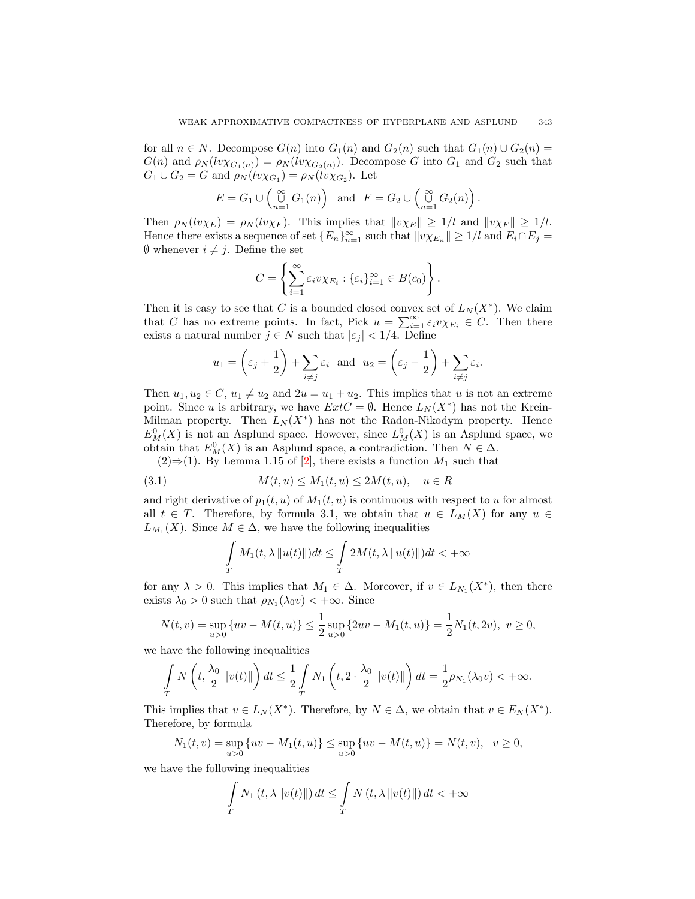for all  $n \in N$ . Decompose  $G(n)$  into  $G_1(n)$  and  $G_2(n)$  such that  $G_1(n) \cup G_2(n)$  $G(n)$  and  $\rho_N(lv\chi_{G_1(n)}) = \rho_N(lv\chi_{G_2(n)})$ . Decompose G into  $G_1$  and  $G_2$  such that  $G_1 \cup G_2 = G$  and  $\rho_N(lv\chi_{G_1}) = \rho_N(lv\chi_{G_2})$ . Let

$$
E = G_1 \cup \begin{pmatrix} \infty \\ \cup \\ n=1 \end{pmatrix} G_1(n) \quad \text{and} \quad F = G_2 \cup \begin{pmatrix} \infty \\ \cup \\ n=1 \end{pmatrix} G_2(n) \ .
$$

Then  $\rho_N(lv\chi_E) = \rho_N(lv\chi_F)$ . This implies that  $||v\chi_E|| \geq 1/l$  and  $||v\chi_F|| \geq 1/l$ . Hence there exists a sequence of set  ${E_n}_{n=1}^{\infty}$  such that  $||v \chi_{E_n}|| \geq 1/l$  and  $E_i \cap E_j =$  $\emptyset$  whenever  $i \neq j$ . Define the set

$$
C = \left\{ \sum_{i=1}^{\infty} \varepsilon_i v \chi_{E_i} : \{\varepsilon_i\}_{i=1}^{\infty} \in B(c_0) \right\}.
$$

Then it is easy to see that C is a bounded closed convex set of  $L_N(X^*)$ . We claim that C has no extreme points. In fact, Pick  $u = \sum_{i=1}^{\infty} \varepsilon_i v \chi_{E_i} \in C$ . Then there exists a natural number  $j \in N$  such that  $|\varepsilon_j| < 1/4$ . Define

$$
u_1 = \left(\varepsilon_j + \frac{1}{2}\right) + \sum_{i \neq j} \varepsilon_i
$$
 and  $u_2 = \left(\varepsilon_j - \frac{1}{2}\right) + \sum_{i \neq j} \varepsilon_i$ .

Then  $u_1, u_2 \in C$ ,  $u_1 \neq u_2$  and  $2u = u_1 + u_2$ . This implies that u is not an extreme point. Since u is arbitrary, we have  $ExtC = \emptyset$ . Hence  $L_N(X^*)$  has not the Krein-Milman property. Then  $L_N(X^*)$  has not the Radon-Nikodym property. Hence  $E_M^0(X)$  is not an Asplund space. However, since  $L_M^0(X)$  is an Asplund space, we obtain that  $E_M^0(X)$  is an Asplund space, a contradiction. Then  $N \in \Delta$ .

(2)⇒(1). By Lemma 1.15 of [\[2\]](#page-18-5), there exists a function  $M_1$  such that

$$
(3.1) \t\t M(t, u) \le M_1(t, u) \le 2M(t, u), \quad u \in R
$$

and right derivative of  $p_1(t, u)$  of  $M_1(t, u)$  is continuous with respect to u for almost all  $t \in T$ . Therefore, by formula 3.1, we obtain that  $u \in L_M(X)$  for any  $u \in$  $L_{M_1}(X)$ . Since  $M \in \Delta$ , we have the following inequalities

$$
\int_{T} M_{1}(t, \lambda \|u(t)\|)dt \leq \int_{T} 2M(t, \lambda \|u(t)\|)dt < +\infty
$$

for any  $\lambda > 0$ . This implies that  $M_1 \in \Delta$ . Moreover, if  $v \in L_{N_1}(X^*)$ , then there exists  $\lambda_0 > 0$  such that  $\rho_{N_1}(\lambda_0 v) < +\infty$ . Since

$$
N(t,v) = \sup_{u>0} \{uv - M(t,u)\} \le \frac{1}{2} \sup_{u>0} \{2uv - M_1(t,u)\} = \frac{1}{2} N_1(t, 2v), \ v \ge 0,
$$

we have the following inequalities

$$
\int_T N\left(t, \frac{\lambda_0}{2} ||v(t)||\right) dt \le \frac{1}{2} \int_T N_1\left(t, 2 \cdot \frac{\lambda_0}{2} ||v(t)||\right) dt = \frac{1}{2} \rho_{N_1}(\lambda_0 v) < +\infty.
$$

This implies that  $v \in L_N(X^*)$ . Therefore, by  $N \in \Delta$ , we obtain that  $v \in E_N(X^*)$ . Therefore, by formula

$$
N_1(t, v) = \sup_{u>0} \{uv - M_1(t, u)\} \le \sup_{u>0} \{uv - M(t, u)\} = N(t, v), \quad v \ge 0,
$$

we have the following inequalities

$$
\int_{T} N_{1} (t, \lambda ||v(t)||) dt \leq \int_{T} N(t, \lambda ||v(t)||) dt < +\infty
$$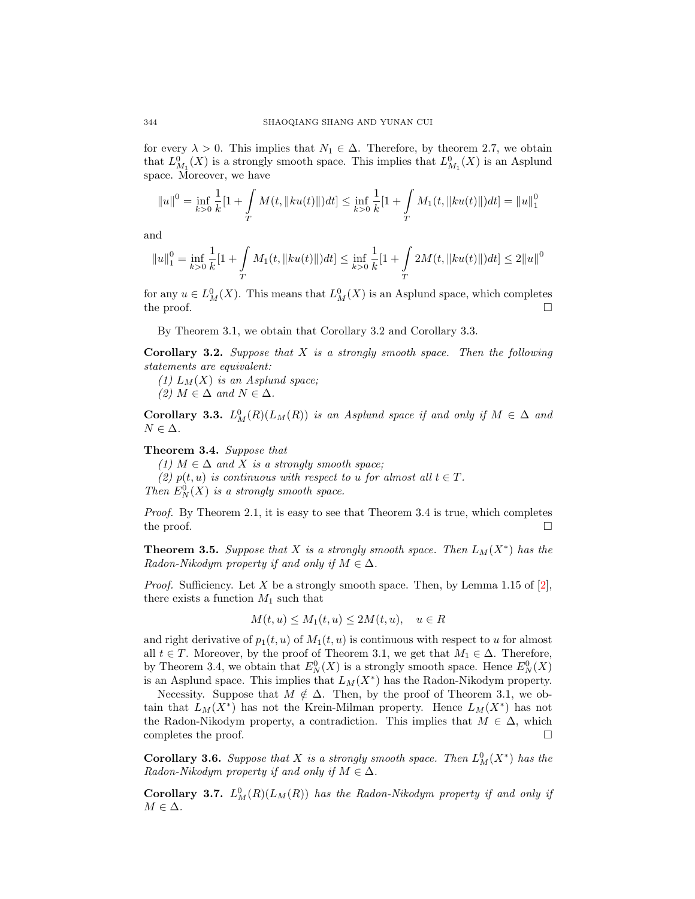for every  $\lambda > 0$ . This implies that  $N_1 \in \Delta$ . Therefore, by theorem 2.7, we obtain that  $L_{M_1}^0(X)$  is a strongly smooth space. This implies that  $L_{M_1}^0(X)$  is an Asplund space. Moreover, we have

$$
||u||^{0} = \inf_{k>0} \frac{1}{k} [1 + \int_{T} M(t, ||ku(t)||) dt] \le \inf_{k>0} \frac{1}{k} [1 + \int_{T} M_{1}(t, ||ku(t)||) dt] = ||u||_{1}^{0}
$$

and

$$
||u||_1^0 = \inf_{k>0} \frac{1}{k} [1 + \int_{T} M_1(t, ||ku(t)||) dt] \le \inf_{k>0} \frac{1}{k} [1 + \int_{T} 2M(t, ||ku(t)||) dt] \le 2||u||^0
$$

for any  $u \in L^0(M)$ . This means that  $L^0(M)$  is an Asplund space, which completes the proof.  $\Box$ 

By Theorem 3.1, we obtain that Corollary 3.2 and Corollary 3.3.

**Corollary 3.2.** Suppose that  $X$  is a strongly smooth space. Then the following statements are equivalent:

(1)  $L_M(X)$  is an Asplund space; (2)  $M \in \Delta$  and  $N \in \Delta$ .

**Corollary 3.3.**  $L^0_M(R)(L_M(R))$  is an Asplund space if and only if  $M \in \Delta$  and  $N \in \Delta$ .

Theorem 3.4. Suppose that

(1)  $M \in \Delta$  and X is a strongly smooth space; (2)  $p(t, u)$  is continuous with respect to u for almost all  $t \in T$ . Then  $E_N^0(X)$  is a strongly smooth space.

Proof. By Theorem 2.1, it is easy to see that Theorem 3.4 is true, which completes the proof.  $\Box$ 

**Theorem 3.5.** Suppose that X is a strongly smooth space. Then  $L_M(X^*)$  has the Radon-Nikodym property if and only if  $M \in \Delta$ .

*Proof.* Sufficiency. Let X be a strongly smooth space. Then, by Lemma 1.15 of [\[2\]](#page-18-5), there exists a function  $M_1$  such that

$$
M(t, u) \le M_1(t, u) \le 2M(t, u), \quad u \in R
$$

and right derivative of  $p_1(t, u)$  of  $M_1(t, u)$  is continuous with respect to u for almost all  $t \in T$ . Moreover, by the proof of Theorem 3.1, we get that  $M_1 \in \Delta$ . Therefore, by Theorem 3.4, we obtain that  $E_N^0(X)$  is a strongly smooth space. Hence  $E_N^0(X)$ is an Asplund space. This implies that  $L_M(X^*)$  has the Radon-Nikodym property.

Necessity. Suppose that  $M \notin \Delta$ . Then, by the proof of Theorem 3.1, we obtain that  $L_M(X^*)$  has not the Krein-Milman property. Hence  $L_M(X^*)$  has not the Radon-Nikodym property, a contradiction. This implies that  $M \in \Delta$ , which completes the proof.

**Corollary 3.6.** Suppose that X is a strongly smooth space. Then  $L^0(M(X^*))$  has the Radon-Nikodym property if and only if  $M \in \Delta$ .

**Corollary 3.7.**  $L_M^0(R)(L_M(R))$  has the Radon-Nikodym property if and only if  $M \in \Delta$ .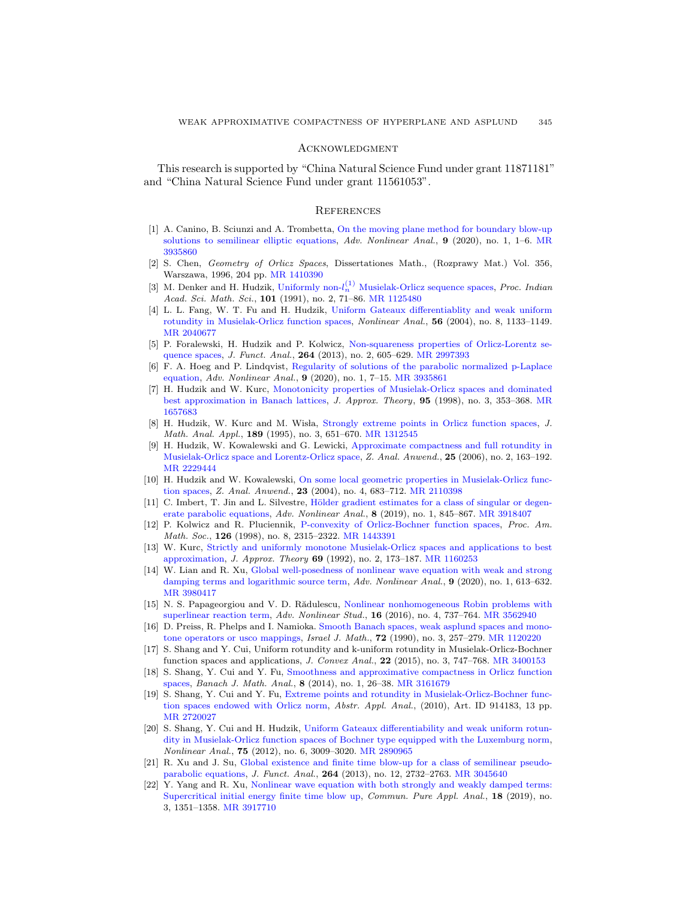### **ACKNOWLEDGMENT**

This research is supported by "China Natural Science Fund under grant 11871181" and "China Natural Science Fund under grant 11561053".

#### **REFERENCES**

- <span id="page-18-0"></span>[1] A. Canino, B. Sciunzi and A. Trombetta, [On the moving plane method for boundary blow-up](http://dx.doi.org/10.1515/anona-2017-0221) [solutions to semilinear elliptic equations,](http://dx.doi.org/10.1515/anona-2017-0221) Adv. Nonlinear Anal.,  $9$  (2020), no. 1, 1–6. [MR](http://www.ams.org/mathscinet-getitem?mr=3935860&return=pdf) [3935860](http://www.ams.org/mathscinet-getitem?mr=3935860&return=pdf)
- <span id="page-18-5"></span>[2] S. Chen, Geometry of Orlicz Spaces, Dissertationes Math., (Rozprawy Mat.) Vol. 356, Warszawa, 1996, 204 pp. [MR 1410390](http://www.ams.org/mathscinet-getitem?mr=1410390&return=pdf)
- [3] M. Denker and H. Hudzik, Uniformly non- $l_n^{(1)}$  [Musielak-Orlicz sequence spaces,](http://dx.doi.org/10.1007/BF02868018) *Proc. Indian* Acad. Sci. Math. Sci., 101 (1991), no. 2, 71-86. [MR 1125480](http://www.ams.org/mathscinet-getitem?mr=1125480&return=pdf)
- <span id="page-18-6"></span>[4] L. L. Fang, W. T. Fu and H. Hudzik, [Uniform Gateaux differentiablity and weak uniform](http://dx.doi.org/10.1016/j.na.2003.11.007) [rotundity in Musielak-Orlicz function spaces,](http://dx.doi.org/10.1016/j.na.2003.11.007) Nonlinear Anal., 56 (2004), no. 8, 1133–1149. [MR 2040677](http://www.ams.org/mathscinet-getitem?mr=2040677&return=pdf)
- [5] P. Foralewski, H. Hudzik and P. Kolwicz, [Non-squareness properties of Orlicz-Lorentz se](http://dx.doi.org/10.1016/j.jfa.2012.10.014)[quence spaces,](http://dx.doi.org/10.1016/j.jfa.2012.10.014) J. Funct. Anal., 264 (2013), no. 2, 605–629. [MR 2997393](http://www.ams.org/mathscinet-getitem?mr=2997393&return=pdf)
- <span id="page-18-1"></span>[6] F. A. Hoeg and P. Lindqvist, [Regularity of solutions of the parabolic normalized p-Laplace](http://dx.doi.org/10.1515/anona-2018-0091) [equation,](http://dx.doi.org/10.1515/anona-2018-0091) Adv. Nonlinear Anal., 9 (2020), no. 1, 7–15. [MR 3935861](http://www.ams.org/mathscinet-getitem?mr=3935861&return=pdf)
- [7] H. Hudzik and W. Kurc, [Monotonicity properties of Musielak-Orlicz spaces and dominated](http://dx.doi.org/10.1006/jath.1997.3226) [best approximation in Banach lattices,](http://dx.doi.org/10.1006/jath.1997.3226) J. Approx. Theory, 95 (1998), no. 3, 353–368. [MR](http://www.ams.org/mathscinet-getitem?mr=1657683&return=pdf) [1657683](http://www.ams.org/mathscinet-getitem?mr=1657683&return=pdf)
- [8] H. Hudzik, W. Kurc and M. Wisła, [Strongly extreme points in Orlicz function spaces,](http://dx.doi.org/10.1006/jmaa.1995.1043) J. Math. Anal. Appl., 189 (1995), no. 3, 651–670. [MR 1312545](http://www.ams.org/mathscinet-getitem?mr=1312545&return=pdf)
- [9] H. Hudzik, W. Kowalewski and G. Lewicki, [Approximate compactness and full rotundity in](http://dx.doi.org/10.4171/ZAA/1283) [Musielak-Orlicz space and Lorentz-Orlicz space,](http://dx.doi.org/10.4171/ZAA/1283) Z. Anal. Anwend., 25 (2006), no. 2, 163–192. [MR 2229444](http://www.ams.org/mathscinet-getitem?mr=2229444&return=pdf)
- [10] H. Hudzik and W. Kowalewski, [On some local geometric properties in Musielak-Orlicz func](http://dx.doi.org/10.4171/ZAA/1216)[tion spaces,](http://dx.doi.org/10.4171/ZAA/1216) Z. Anal. Anwend., 23 (2004), no. 4, 683–712. [MR 2110398](http://www.ams.org/mathscinet-getitem?mr=2110398&return=pdf)
- <span id="page-18-2"></span>[11] C. Imbert, T. Jin and L. Silvestre, Hölder gradient estimates for a class of singular or degen[erate parabolic equations,](http://dx.doi.org/10.1515/anona-2016-0197) Adv. Nonlinear Anal., 8 (2019), no. 1, 845–867. [MR 3918407](http://www.ams.org/mathscinet-getitem?mr=3918407&return=pdf)
- [12] P. Kolwicz and R. Pluciennik, [P-convexity of Orlicz-Bochner function spaces,](http://dx.doi.org/10.1090/S0002-9939-98-04290-7) Proc. Am. Math. Soc., 126 (1998), no. 8, 2315-2322. [MR 1443391](http://www.ams.org/mathscinet-getitem?mr=1443391&return=pdf)
- [13] W. Kurc, [Strictly and uniformly monotone Musielak-Orlicz spaces and applications to best](http://dx.doi.org/10.1016/0021-9045(92)90141-A) [approximation,](http://dx.doi.org/10.1016/0021-9045(92)90141-A) J. Approx. Theory 69 (1992), no. 2, 173–187. [MR 1160253](http://www.ams.org/mathscinet-getitem?mr=1160253&return=pdf)
- [14] W. Lian and R. Xu, [Global well-posedness of nonlinear wave equation with weak and strong](http://dx.doi.org/10.1515/anona-2020-0016) [damping terms and logarithmic source term,](http://dx.doi.org/10.1515/anona-2020-0016) Adv. Nonlinear Anal., 9 (2020), no. 1, 613–632. [MR 3980417](http://www.ams.org/mathscinet-getitem?mr=3980417&return=pdf)
- <span id="page-18-3"></span>[15] N. S. Papageorgiou and V. D. Rădulescu, [Nonlinear nonhomogeneous Robin problems with](http://dx.doi.org/10.1515/ans-2016-0023) [superlinear reaction term,](http://dx.doi.org/10.1515/ans-2016-0023) Adv. Nonlinear Stud., 16 (2016), no. 4, 737–764. [MR 3562940](http://www.ams.org/mathscinet-getitem?mr=3562940&return=pdf)
- [16] D. Preiss, R. Phelps and I. Namioka. [Smooth Banach spaces, weak asplund spaces and mono](http://dx.doi.org/10.1007/BF02773783)[tone operators or usco mappings,](http://dx.doi.org/10.1007/BF02773783) Israel J. Math., **72** (1990), no. 3, 257–279. [MR 1120220](http://www.ams.org/mathscinet-getitem?mr=1120220&return=pdf)
- [17] S. Shang and Y. Cui, Uniform rotundity and k-uniform rotundity in Musielak-Orlicz-Bochner function spaces and applications, J. Convex Anal., 22 (2015), no. 3, 747–768. [MR 3400153](http://www.ams.org/mathscinet-getitem?mr=3400153&return=pdf)
- <span id="page-18-8"></span>[18] S. Shang, Y. Cui and Y. Fu, [Smoothness and approximative compactness in Orlicz function](http://dx.doi.org/10.15352/bjma/1381782084) [spaces,](http://dx.doi.org/10.15352/bjma/1381782084) Banach J. Math. Anal., 8 (2014), no. 1, 26–38. [MR 3161679](http://www.ams.org/mathscinet-getitem?mr=3161679&return=pdf)
- [19] S. Shang, Y. Cui and Y. Fu, [Extreme points and rotundity in Musielak-Orlicz-Bochner func](http://dx.doi.org/10.1155/2010/914183)[tion spaces endowed with Orlicz norm,](http://dx.doi.org/10.1155/2010/914183) Abstr. Appl. Anal., (2010), Art. ID 914183, 13 pp. [MR 2720027](http://www.ams.org/mathscinet-getitem?mr=2720027&return=pdf)
- <span id="page-18-7"></span>[20] S. Shang, Y. Cui and H. Hudzik, [Uniform Gateaux differentiability and weak uniform rotun](http://dx.doi.org/10.1016/j.na.2011.11.012)[dity in Musielak-Orlicz function spaces of Bochner type equipped with the Luxemburg norm,](http://dx.doi.org/10.1016/j.na.2011.11.012) Nonlinear Anal., 75 (2012), no. 6, 3009–3020. [MR 2890965](http://www.ams.org/mathscinet-getitem?mr=2890965&return=pdf)
- <span id="page-18-4"></span>[21] R. Xu and J. Su, [Global existence and finite time blow-up for a class of semilinear pseudo](http://dx.doi.org/10.1016/j.jfa.2013.03.010)[parabolic equations,](http://dx.doi.org/10.1016/j.jfa.2013.03.010) J. Funct. Anal., 264 (2013), no. 12, 2732–2763. [MR 3045640](http://www.ams.org/mathscinet-getitem?mr=3045640&return=pdf)
- [22] Y. Yang and R. Xu, [Nonlinear wave equation with both strongly and weakly damped terms:](http://dx.doi.org/10.3934/cpaa.2019065) [Supercritical initial energy finite time blow up,](http://dx.doi.org/10.3934/cpaa.2019065) *Commun. Pure Appl. Anal.*, 18 (2019), no. 3, 1351–1358. [MR 3917710](http://www.ams.org/mathscinet-getitem?mr=3917710&return=pdf)